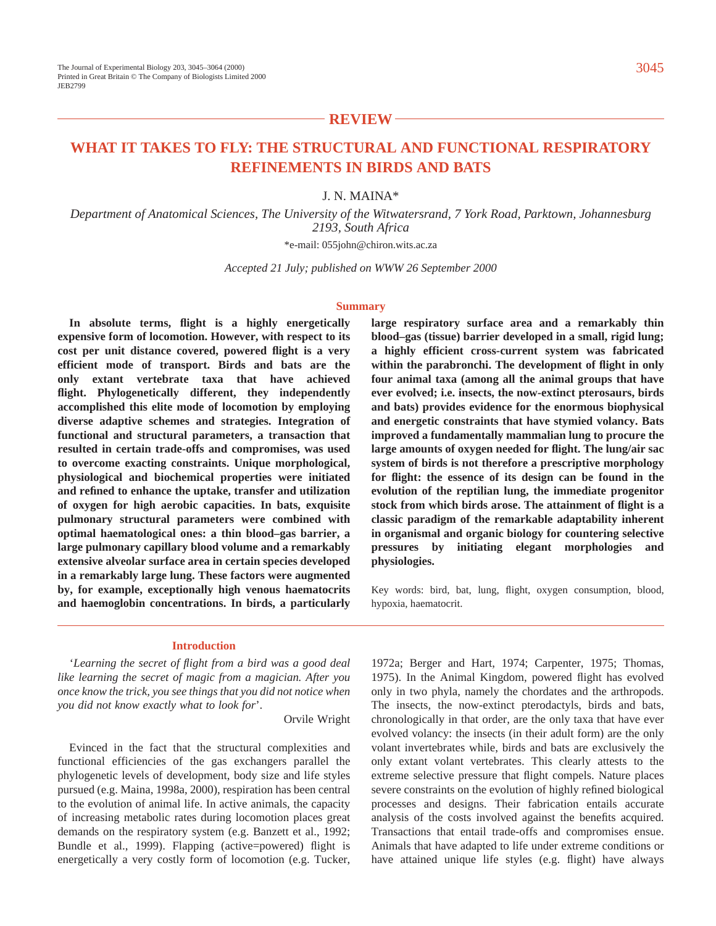# **REVIEW**

# **WHAT IT TAKES TO FLY: THE STRUCTURAL AND FUNCTIONAL RESPIRATORY REFINEMENTS IN BIRDS AND BATS**

J. N. MAINA\*

*Department of Anatomical Sciences, The University of the Witwatersrand, 7 York Road, Parktown, Johannesburg 2193, South Africa*

\*e-mail: 055john@chiron.wits.ac.za

*Accepted 21 July; published on WWW 26 September 2000*

#### **Summary**

**In absolute terms, flight is a highly energetically expensive form of locomotion. However, with respect to its cost per unit distance covered, powered flight is a very efficient mode of transport. Birds and bats are the only extant vertebrate taxa that have achieved flight. Phylogenetically different, they independently accomplished this elite mode of locomotion by employing diverse adaptive schemes and strategies. Integration of functional and structural parameters, a transaction that resulted in certain trade-offs and compromises, was used to overcome exacting constraints. Unique morphological, physiological and biochemical properties were initiated and refined to enhance the uptake, transfer and utilization of oxygen for high aerobic capacities. In bats, exquisite pulmonary structural parameters were combined with optimal haematological ones: a thin blood–gas barrier, a large pulmonary capillary blood volume and a remarkably extensive alveolar surface area in certain species developed in a remarkably large lung. These factors were augmented by, for example, exceptionally high venous haematocrits and haemoglobin concentrations. In birds, a particularly** **large respiratory surface area and a remarkably thin blood–gas (tissue) barrier developed in a small, rigid lung; a highly efficient cross-current system was fabricated within the parabronchi. The development of flight in only four animal taxa (among all the animal groups that have ever evolved; i.e. insects, the now-extinct pterosaurs, birds and bats) provides evidence for the enormous biophysical and energetic constraints that have stymied volancy. Bats improved a fundamentally mammalian lung to procure the large amounts of oxygen needed for flight. The lung/air sac system of birds is not therefore a prescriptive morphology for flight: the essence of its design can be found in the evolution of the reptilian lung, the immediate progenitor stock from which birds arose. The attainment of flight is a classic paradigm of the remarkable adaptability inherent in organismal and organic biology for countering selective pressures by initiating elegant morphologies and physiologies.**

Key words: bird, bat, lung, flight, oxygen consumption, blood, hypoxia, haematocrit.

#### **Introduction**

'*Learning the secret of flight from a bird was a good deal like learning the secret of magic from a magician. After you once know the trick, you see things that you did not notice when you did not know exactly what to look for*'.

Orvile Wright

Evinced in the fact that the structural complexities and functional efficiencies of the gas exchangers parallel the phylogenetic levels of development, body size and life styles pursued (e.g. Maina, 1998a, 2000), respiration has been central to the evolution of animal life. In active animals, the capacity of increasing metabolic rates during locomotion places great demands on the respiratory system (e.g. Banzett et al., 1992; Bundle et al., 1999). Flapping (active=powered) flight is energetically a very costly form of locomotion (e.g. Tucker,

1972a; Berger and Hart, 1974; Carpenter, 1975; Thomas, 1975). In the Animal Kingdom, powered flight has evolved only in two phyla, namely the chordates and the arthropods. The insects, the now-extinct pterodactyls, birds and bats, chronologically in that order, are the only taxa that have ever evolved volancy: the insects (in their adult form) are the only volant invertebrates while, birds and bats are exclusively the only extant volant vertebrates. This clearly attests to the extreme selective pressure that flight compels. Nature places severe constraints on the evolution of highly refined biological processes and designs. Their fabrication entails accurate analysis of the costs involved against the benefits acquired. Transactions that entail trade-offs and compromises ensue. Animals that have adapted to life under extreme conditions or have attained unique life styles (e.g. flight) have always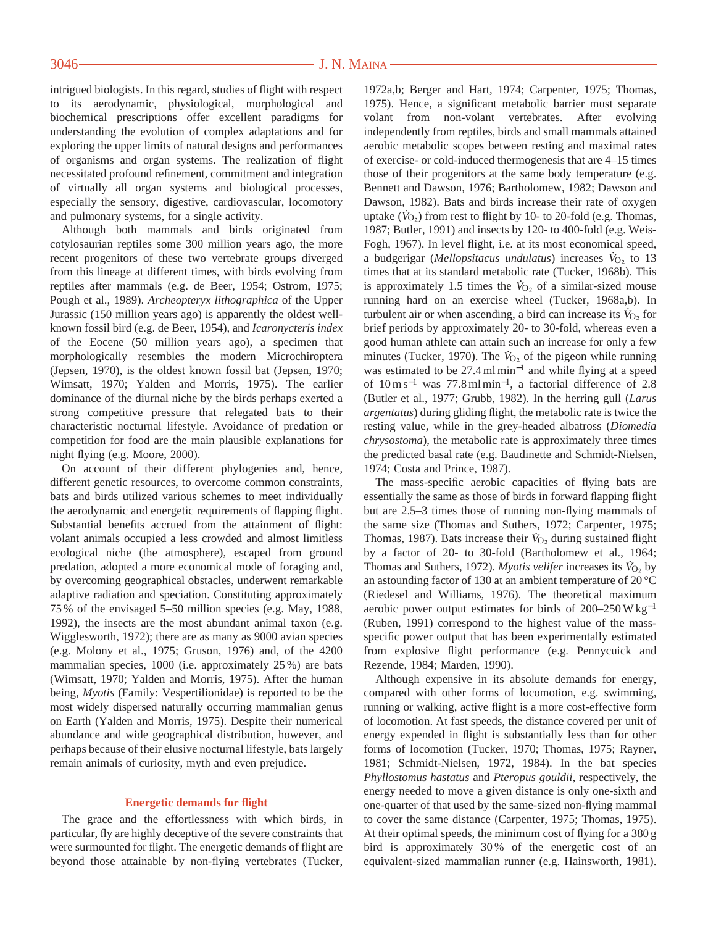intrigued biologists. In this regard, studies of flight with respect to its aerodynamic, physiological, morphological and biochemical prescriptions offer excellent paradigms for understanding the evolution of complex adaptations and for exploring the upper limits of natural designs and performances of organisms and organ systems. The realization of flight necessitated profound refinement, commitment and integration of virtually all organ systems and biological processes, especially the sensory, digestive, cardiovascular, locomotory and pulmonary systems, for a single activity.

Although both mammals and birds originated from cotylosaurian reptiles some 300 million years ago, the more recent progenitors of these two vertebrate groups diverged from this lineage at different times, with birds evolving from reptiles after mammals (e.g. de Beer, 1954; Ostrom, 1975; Pough et al., 1989). *Archeopteryx lithographica* of the Upper Jurassic (150 million years ago) is apparently the oldest wellknown fossil bird (e.g. de Beer, 1954), and *Icaronycteris index* of the Eocene (50 million years ago), a specimen that morphologically resembles the modern Microchiroptera (Jepsen, 1970), is the oldest known fossil bat (Jepsen, 1970; Wimsatt, 1970; Yalden and Morris, 1975). The earlier dominance of the diurnal niche by the birds perhaps exerted a strong competitive pressure that relegated bats to their characteristic nocturnal lifestyle. Avoidance of predation or competition for food are the main plausible explanations for night flying (e.g. Moore, 2000).

On account of their different phylogenies and, hence, different genetic resources, to overcome common constraints, bats and birds utilized various schemes to meet individually the aerodynamic and energetic requirements of flapping flight. Substantial benefits accrued from the attainment of flight: volant animals occupied a less crowded and almost limitless ecological niche (the atmosphere), escaped from ground predation, adopted a more economical mode of foraging and, by overcoming geographical obstacles, underwent remarkable adaptive radiation and speciation. Constituting approximately 75 % of the envisaged 5–50 million species (e.g. May, 1988, 1992), the insects are the most abundant animal taxon (e.g. Wigglesworth, 1972); there are as many as 9000 avian species (e.g. Molony et al., 1975; Gruson, 1976) and, of the 4200 mammalian species, 1000 (i.e. approximately 25 %) are bats (Wimsatt, 1970; Yalden and Morris, 1975). After the human being, *Myotis* (Family: Vespertilionidae) is reported to be the most widely dispersed naturally occurring mammalian genus on Earth (Yalden and Morris, 1975). Despite their numerical abundance and wide geographical distribution, however, and perhaps because of their elusive nocturnal lifestyle, bats largely remain animals of curiosity, myth and even prejudice.

## **Energetic demands for flight**

The grace and the effortlessness with which birds, in particular, fly are highly deceptive of the severe constraints that were surmounted for flight. The energetic demands of flight are beyond those attainable by non-flying vertebrates (Tucker,

1972a,b; Berger and Hart, 1974; Carpenter, 1975; Thomas, 1975). Hence, a significant metabolic barrier must separate volant from non-volant vertebrates. After evolving independently from reptiles, birds and small mammals attained aerobic metabolic scopes between resting and maximal rates of exercise- or cold-induced thermogenesis that are 4–15 times those of their progenitors at the same body temperature (e.g. Bennett and Dawson, 1976; Bartholomew, 1982; Dawson and Dawson, 1982). Bats and birds increase their rate of oxygen uptake  $(\dot{V}_{O_2})$  from rest to flight by 10- to 20-fold (e.g. Thomas, 1987; Butler, 1991) and insects by 120- to 400-fold (e.g. Weis-Fogh, 1967). In level flight, i.e. at its most economical speed, a budgerigar (*Mellopsitacus undulatus*) increases  $\dot{V}_{O_2}$  to 13 times that at its standard metabolic rate (Tucker, 1968b). This is approximately 1.5 times the  $\dot{V}_{O_2}$  of a similar-sized mouse running hard on an exercise wheel (Tucker, 1968a,b). In . turbulent air or when ascending, a bird can increase its  $\dot{V}_{O_2}$  for brief periods by approximately 20- to 30-fold, whereas even a good human athlete can attain such an increase for only a few . minutes (Tucker, 1970). The  $\dot{V}_{O_2}$  of the pigeon while running was estimated to be 27.4 ml min−<sup>1</sup> and while flying at a speed of 10 m s−<sup>1</sup> was 77.8 ml min<sup>−</sup>1, a factorial difference of 2.8 (Butler et al., 1977; Grubb, 1982). In the herring gull (*Larus argentatus*) during gliding flight, the metabolic rate is twice the resting value, while in the grey-headed albatross (*Diomedia chrysostoma*), the metabolic rate is approximately three times the predicted basal rate (e.g. Baudinette and Schmidt-Nielsen, 1974; Costa and Prince, 1987).

The mass-specific aerobic capacities of flying bats are essentially the same as those of birds in forward flapping flight but are 2.5–3 times those of running non-flying mammals of the same size (Thomas and Suthers, 1972; Carpenter, 1975; Thomas, 1987). Bats increase their  $\dot{V}_{O_2}$  during sustained flight by a factor of 20- to 30-fold (Bartholomew et al., 1964; Thomas and Suthers, 1972). *Myotis velifer* increases its  $\dot{V}_{O_2}$  by an astounding factor of 130 at an ambient temperature of 20 °C (Riedesel and Williams, 1976). The theoretical maximum aerobic power output estimates for birds of 200–250 W kg−<sup>1</sup> (Ruben, 1991) correspond to the highest value of the massspecific power output that has been experimentally estimated from explosive flight performance (e.g. Pennycuick and Rezende, 1984; Marden, 1990).

Although expensive in its absolute demands for energy, compared with other forms of locomotion, e.g. swimming, running or walking, active flight is a more cost-effective form of locomotion. At fast speeds, the distance covered per unit of energy expended in flight is substantially less than for other forms of locomotion (Tucker, 1970; Thomas, 1975; Rayner, 1981; Schmidt-Nielsen, 1972, 1984). In the bat species *Phyllostomus hastatus* and *Pteropus gouldii*, respectively, the energy needed to move a given distance is only one-sixth and one-quarter of that used by the same-sized non-flying mammal to cover the same distance (Carpenter, 1975; Thomas, 1975). At their optimal speeds, the minimum cost of flying for a 380 g bird is approximately 30 % of the energetic cost of an equivalent-sized mammalian runner (e.g. Hainsworth, 1981).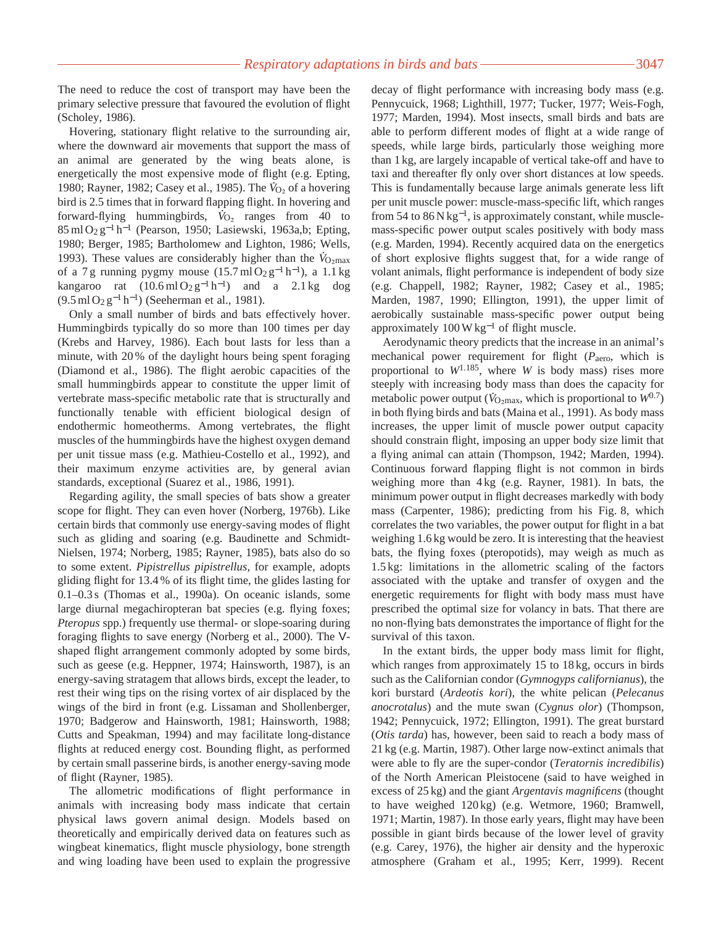The need to reduce the cost of transport may have been the primary selective pressure that favoured the evolution of flight (Scholey, 1986).

Hovering, stationary flight relative to the surrounding air, where the downward air movements that support the mass of an animal are generated by the wing beats alone, is energetically the most expensive mode of flight (e.g. Epting, 1980; Rayner, 1982; Casey et al., 1985). The  $V_{O_2}$  of a hovering bird is 2.5 times that in forward flapping flight. In hovering and forward-flying hummingbirds,  $V_{\text{O}_2}$  ranges from 40 to 85 ml O2 g−<sup>1</sup> h−<sup>1</sup> (Pearson, 1950; Lasiewski, 1963a,b; Epting, 1980; Berger, 1985; Bartholomew and Lighton, 1986; Wells, . 1993). These values are considerably higher than the  $\dot{V}_{\text{O}_2\text{max}}$ of a 7 g running pygmy mouse  $(15.7 \text{ ml } O_2 \text{ g}^{-1} \text{ h}^{-1})$ , a 1.1 kg kangaroo rat  $(10.6 \text{ ml } O_2 \text{ g}^{-1} \text{ h}^{-1})$  and a 2.1 kg dog  $(9.5 \text{ ml } O_2 \text{ g}^{-1} \text{ h}^{-1})$  (Seeherman et al., 1981).

Only a small number of birds and bats effectively hover. Hummingbirds typically do so more than 100 times per day (Krebs and Harvey, 1986). Each bout lasts for less than a minute, with 20 % of the daylight hours being spent foraging (Diamond et al., 1986). The flight aerobic capacities of the small hummingbirds appear to constitute the upper limit of vertebrate mass-specific metabolic rate that is structurally and functionally tenable with efficient biological design of endothermic homeotherms. Among vertebrates, the flight muscles of the hummingbirds have the highest oxygen demand per unit tissue mass (e.g. Mathieu-Costello et al., 1992), and their maximum enzyme activities are, by general avian standards, exceptional (Suarez et al., 1986, 1991).

Regarding agility, the small species of bats show a greater scope for flight. They can even hover (Norberg, 1976b). Like certain birds that commonly use energy-saving modes of flight such as gliding and soaring (e.g. Baudinette and Schmidt-Nielsen, 1974; Norberg, 1985; Rayner, 1985), bats also do so to some extent. *Pipistrellus pipistrellus*, for example, adopts gliding flight for 13.4 % of its flight time, the glides lasting for 0.1–0.3 s (Thomas et al., 1990a). On oceanic islands, some large diurnal megachiropteran bat species (e.g. flying foxes; *Pteropus* spp.) frequently use thermal- or slope-soaring during foraging flights to save energy (Norberg et al., 2000). The Vshaped flight arrangement commonly adopted by some birds, such as geese (e.g. Heppner, 1974; Hainsworth, 1987), is an energy-saving stratagem that allows birds, except the leader, to rest their wing tips on the rising vortex of air displaced by the wings of the bird in front (e.g. Lissaman and Shollenberger, 1970; Badgerow and Hainsworth, 1981; Hainsworth, 1988; Cutts and Speakman, 1994) and may facilitate long-distance flights at reduced energy cost. Bounding flight, as performed by certain small passerine birds, is another energy-saving mode of flight (Rayner, 1985).

The allometric modifications of flight performance in animals with increasing body mass indicate that certain physical laws govern animal design. Models based on theoretically and empirically derived data on features such as wingbeat kinematics, flight muscle physiology, bone strength and wing loading have been used to explain the progressive

decay of flight performance with increasing body mass (e.g. Pennycuick, 1968; Lighthill, 1977; Tucker, 1977; Weis-Fogh, 1977; Marden, 1994). Most insects, small birds and bats are able to perform different modes of flight at a wide range of speeds, while large birds, particularly those weighing more than 1 kg, are largely incapable of vertical take-off and have to taxi and thereafter fly only over short distances at low speeds. This is fundamentally because large animals generate less lift per unit muscle power: muscle-mass-specific lift, which ranges from 54 to  $86$  N kg<sup>-1</sup>, is approximately constant, while musclemass-specific power output scales positively with body mass (e.g. Marden, 1994). Recently acquired data on the energetics of short explosive flights suggest that, for a wide range of volant animals, flight performance is independent of body size (e.g. Chappell, 1982; Rayner, 1982; Casey et al., 1985; Marden, 1987, 1990; Ellington, 1991), the upper limit of aerobically sustainable mass-specific power output being approximately 100 W kg−<sup>1</sup> of flight muscle.

Aerodynamic theory predicts that the increase in an animal's mechanical power requirement for flight ( $P_{\text{aero}}$ , which is proportional to *W*1.185, where *W* is body mass) rises more steeply with increasing body mass than does the capacity for  $\frac{1}{2}$ . metabolic power output ( $\dot{V}_{\text{O}_2\text{max}}$ , which is proportional to  $W^{0.7}$ ) in both flying birds and bats (Maina et al., 1991). As body mass increases, the upper limit of muscle power output capacity should constrain flight, imposing an upper body size limit that a flying animal can attain (Thompson, 1942; Marden, 1994). Continuous forward flapping flight is not common in birds weighing more than 4 kg (e.g. Rayner, 1981). In bats, the minimum power output in flight decreases markedly with body mass (Carpenter, 1986); predicting from his Fig. 8, which correlates the two variables, the power output for flight in a bat weighing 1.6 kg would be zero. It is interesting that the heaviest bats, the flying foxes (pteropotids), may weigh as much as 1.5 kg: limitations in the allometric scaling of the factors associated with the uptake and transfer of oxygen and the energetic requirements for flight with body mass must have prescribed the optimal size for volancy in bats. That there are no non-flying bats demonstrates the importance of flight for the survival of this taxon.

In the extant birds, the upper body mass limit for flight, which ranges from approximately 15 to 18 kg, occurs in birds such as the Californian condor (*Gymnogyps californianus*), the kori burstard (*Ardeotis kori*), the white pelican (*Pelecanus anocrotalus*) and the mute swan (*Cygnus olor*) (Thompson, 1942; Pennycuick, 1972; Ellington, 1991). The great burstard (*Otis tarda*) has, however, been said to reach a body mass of 21 kg (e.g. Martin, 1987). Other large now-extinct animals that were able to fly are the super-condor (*Teratornis incredibilis*) of the North American Pleistocene (said to have weighed in excess of 25 kg) and the giant *Argentavis magnificens* (thought to have weighed 120 kg) (e.g. Wetmore, 1960; Bramwell, 1971; Martin, 1987). In those early years, flight may have been possible in giant birds because of the lower level of gravity (e.g. Carey, 1976), the higher air density and the hyperoxic atmosphere (Graham et al., 1995; Kerr, 1999). Recent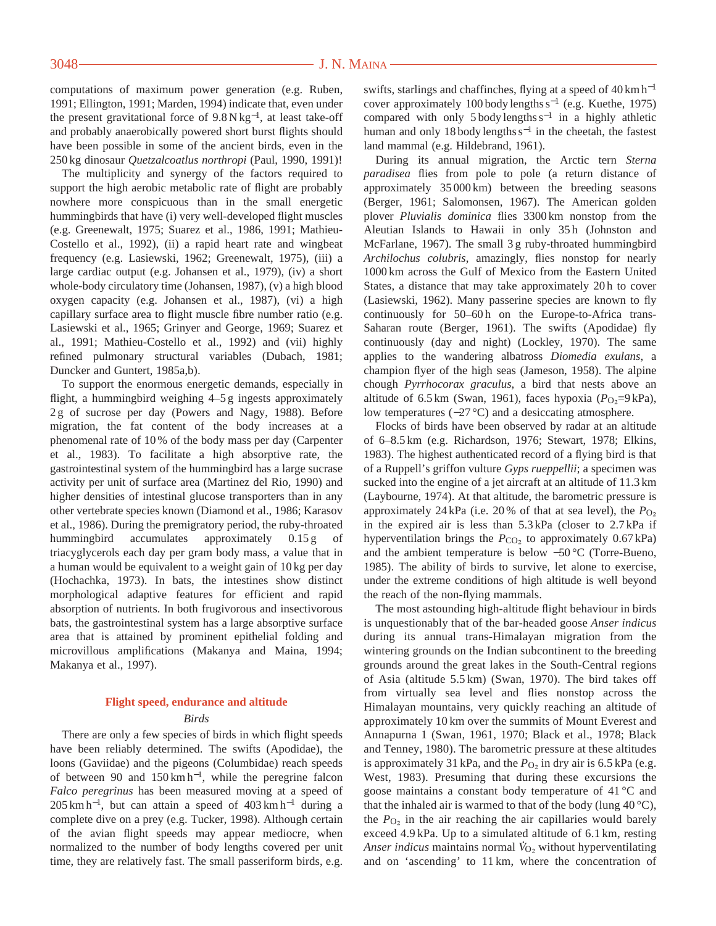computations of maximum power generation (e.g. Ruben, 1991; Ellington, 1991; Marden, 1994) indicate that, even under the present gravitational force of 9.8 N kg<sup>−</sup>1, at least take-off and probably anaerobically powered short burst flights should have been possible in some of the ancient birds, even in the 250 kg dinosaur *Quetzalcoatlus northropi* (Paul, 1990, 1991)!

The multiplicity and synergy of the factors required to support the high aerobic metabolic rate of flight are probably nowhere more conspicuous than in the small energetic hummingbirds that have (i) very well-developed flight muscles (e.g. Greenewalt, 1975; Suarez et al., 1986, 1991; Mathieu-Costello et al., 1992), (ii) a rapid heart rate and wingbeat frequency (e.g. Lasiewski, 1962; Greenewalt, 1975), (iii) a large cardiac output (e.g. Johansen et al., 1979), (iv) a short whole-body circulatory time (Johansen, 1987), (v) a high blood oxygen capacity (e.g. Johansen et al., 1987), (vi) a high capillary surface area to flight muscle fibre number ratio (e.g. Lasiewski et al., 1965; Grinyer and George, 1969; Suarez et al., 1991; Mathieu-Costello et al., 1992) and (vii) highly refined pulmonary structural variables (Dubach, 1981; Duncker and Guntert, 1985a,b).

To support the enormous energetic demands, especially in flight, a hummingbird weighing 4–5 g ingests approximately 2 g of sucrose per day (Powers and Nagy, 1988). Before migration, the fat content of the body increases at a phenomenal rate of 10 % of the body mass per day (Carpenter et al., 1983). To facilitate a high absorptive rate, the gastrointestinal system of the hummingbird has a large sucrase activity per unit of surface area (Martinez del Rio, 1990) and higher densities of intestinal glucose transporters than in any other vertebrate species known (Diamond et al., 1986; Karasov et al., 1986). During the premigratory period, the ruby-throated hummingbird accumulates approximately 0.15 g of triacyglycerols each day per gram body mass, a value that in a human would be equivalent to a weight gain of 10 kg per day (Hochachka, 1973). In bats, the intestines show distinct morphological adaptive features for efficient and rapid absorption of nutrients. In both frugivorous and insectivorous bats, the gastrointestinal system has a large absorptive surface area that is attained by prominent epithelial folding and microvillous amplifications (Makanya and Maina, 1994; Makanya et al., 1997).

## **Flight speed, endurance and altitude** *Birds*

There are only a few species of birds in which flight speeds have been reliably determined. The swifts (Apodidae), the loons (Gaviidae) and the pigeons (Columbidae) reach speeds of between 90 and 150 km h<sup>−</sup>1, while the peregrine falcon *Falco peregrinus* has been measured moving at a speed of  $205 \text{ km h}^{-1}$ , but can attain a speed of 403 km h<sup>-1</sup> during a complete dive on a prey (e.g. Tucker, 1998). Although certain of the avian flight speeds may appear mediocre, when normalized to the number of body lengths covered per unit time, they are relatively fast. The small passeriform birds, e.g.

swifts, starlings and chaffinches, flying at a speed of 40 km h<sup>-1</sup> cover approximately 100 body lengths s−<sup>1</sup> (e.g. Kuethe, 1975) compared with only 5 body lengths s−<sup>1</sup> in a highly athletic human and only 18 body lengths s−<sup>1</sup> in the cheetah, the fastest land mammal (e.g. Hildebrand, 1961).

During its annual migration, the Arctic tern *Sterna paradisea* flies from pole to pole (a return distance of approximately 35 000 km) between the breeding seasons (Berger, 1961; Salomonsen, 1967). The American golden plover *Pluvialis dominica* flies 3300 km nonstop from the Aleutian Islands to Hawaii in only 35h (Johnston and McFarlane, 1967). The small 3 g ruby-throated hummingbird *Archilochus colubris*, amazingly, flies nonstop for nearly 1000 km across the Gulf of Mexico from the Eastern United States, a distance that may take approximately 20 h to cover (Lasiewski, 1962). Many passerine species are known to fly continuously for 50–60h on the Europe-to-Africa trans-Saharan route (Berger, 1961). The swifts (Apodidae) fly continuously (day and night) (Lockley, 1970). The same applies to the wandering albatross *Diomedia exulans*, a champion flyer of the high seas (Jameson, 1958). The alpine chough *Pyrrhocorax graculus*, a bird that nests above an altitude of 6.5 km (Swan, 1961), faces hypoxia ( $P_{\text{O}_2}$ =9 kPa), low temperatures (−27 °C) and a desiccating atmosphere.

Flocks of birds have been observed by radar at an altitude of 6–8.5 km (e.g. Richardson, 1976; Stewart, 1978; Elkins, 1983). The highest authenticated record of a flying bird is that of a Ruppell's griffon vulture *Gyps rueppellii*; a specimen was sucked into the engine of a jet aircraft at an altitude of 11.3 km (Laybourne, 1974). At that altitude, the barometric pressure is approximately 24 kPa (i.e. 20% of that at sea level), the  $P_{\text{O}_2}$ in the expired air is less than 5.3 kPa (closer to 2.7 kPa if hyperventilation brings the  $P_{CO_2}$  to approximately  $0.67 \text{ kPa}$ ) and the ambient temperature is below −50 °C (Torre-Bueno, 1985). The ability of birds to survive, let alone to exercise, under the extreme conditions of high altitude is well beyond the reach of the non-flying mammals.

The most astounding high-altitude flight behaviour in birds is unquestionably that of the bar-headed goose *Anser indicus* during its annual trans-Himalayan migration from the wintering grounds on the Indian subcontinent to the breeding grounds around the great lakes in the South-Central regions of Asia (altitude 5.5 km) (Swan, 1970). The bird takes off from virtually sea level and flies nonstop across the Himalayan mountains, very quickly reaching an altitude of approximately 10 km over the summits of Mount Everest and Annapurna 1 (Swan, 1961, 1970; Black et al., 1978; Black and Tenney, 1980). The barometric pressure at these altitudes is approximately 31 kPa, and the  $P<sub>O2</sub>$  in dry air is 6.5 kPa (e.g. West, 1983). Presuming that during these excursions the goose maintains a constant body temperature of 41 °C and that the inhaled air is warmed to that of the body (lung  $40^{\circ}$ C), the  $P_{\text{O}_2}$  in the air reaching the air capillaries would barely exceed 4.9 kPa. Up to a simulated altitude of 6.1 km, resting . Anser indicus maintains normal  $\dot{V}_{O_2}$  without hyperventilating and on 'ascending' to 11 km, where the concentration of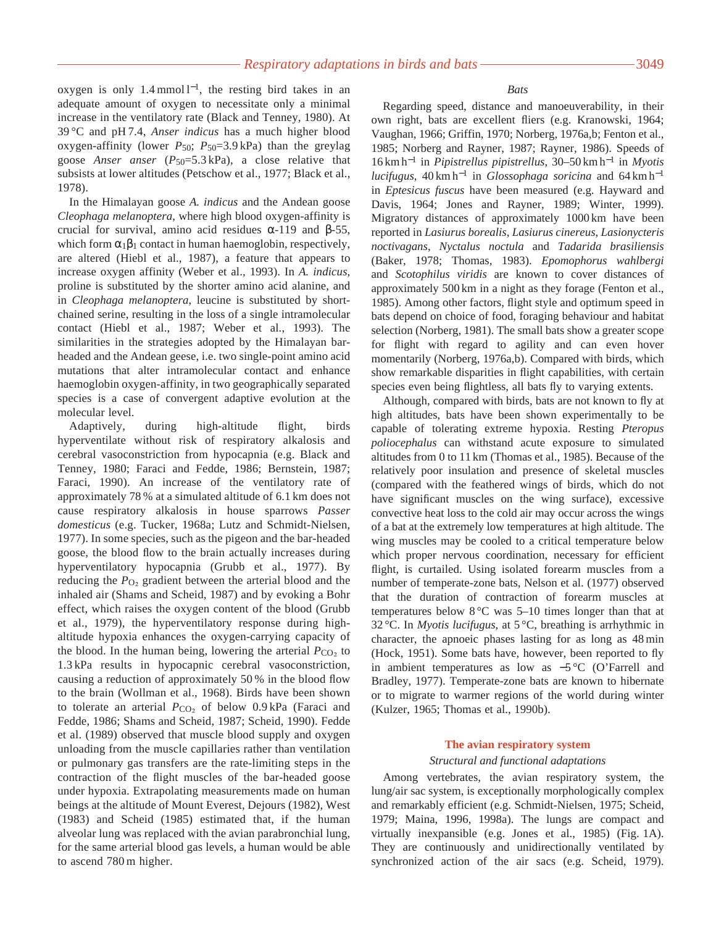oxygen is only 1.4 mmol l<sup>−</sup>1, the resting bird takes in an adequate amount of oxygen to necessitate only a minimal increase in the ventilatory rate (Black and Tenney, 1980). At 39 °C and pH 7.4, *Anser indicus* has a much higher blood oxygen-affinity (lower *P*50; *P*50=3.9 kPa) than the greylag goose *Anser anser* (*P*50=5.3 kPa), a close relative that subsists at lower altitudes (Petschow et al., 1977; Black et al., 1978).

In the Himalayan goose *A. indicus* and the Andean goose *Cleophaga melanoptera*, where high blood oxygen-affinity is crucial for survival, amino acid residues α-119 and β-55, which form  $\alpha_1\beta_1$  contact in human haemoglobin, respectively, are altered (Hiebl et al., 1987), a feature that appears to increase oxygen affinity (Weber et al., 1993). In *A. indicus*, proline is substituted by the shorter amino acid alanine, and in *Cleophaga melanoptera*, leucine is substituted by shortchained serine, resulting in the loss of a single intramolecular contact (Hiebl et al., 1987; Weber et al., 1993). The similarities in the strategies adopted by the Himalayan barheaded and the Andean geese, i.e. two single-point amino acid mutations that alter intramolecular contact and enhance haemoglobin oxygen-affinity, in two geographically separated species is a case of convergent adaptive evolution at the molecular level.

Adaptively, during high-altitude flight, birds hyperventilate without risk of respiratory alkalosis and cerebral vasoconstriction from hypocapnia (e.g. Black and Tenney, 1980; Faraci and Fedde, 1986; Bernstein, 1987; Faraci, 1990). An increase of the ventilatory rate of approximately 78 % at a simulated altitude of 6.1 km does not cause respiratory alkalosis in house sparrows *Passer domesticus* (e.g. Tucker, 1968a; Lutz and Schmidt-Nielsen, 1977). In some species, such as the pigeon and the bar-headed goose, the blood flow to the brain actually increases during hyperventilatory hypocapnia (Grubb et al., 1977). By reducing the  $P_{\text{O}_2}$  gradient between the arterial blood and the inhaled air (Shams and Scheid, 1987) and by evoking a Bohr effect, which raises the oxygen content of the blood (Grubb et al., 1979), the hyperventilatory response during highaltitude hypoxia enhances the oxygen-carrying capacity of the blood. In the human being, lowering the arterial  $P_{\text{CO}_2}$  to 1.3 kPa results in hypocapnic cerebral vasoconstriction, causing a reduction of approximately 50 % in the blood flow to the brain (Wollman et al., 1968). Birds have been shown to tolerate an arterial *P*<sub>CO2</sub> of below 0.9 kPa (Faraci and Fedde, 1986; Shams and Scheid, 1987; Scheid, 1990). Fedde et al. (1989) observed that muscle blood supply and oxygen unloading from the muscle capillaries rather than ventilation or pulmonary gas transfers are the rate-limiting steps in the contraction of the flight muscles of the bar-headed goose under hypoxia. Extrapolating measurements made on human beings at the altitude of Mount Everest, Dejours (1982), West (1983) and Scheid (1985) estimated that, if the human alveolar lung was replaced with the avian parabronchial lung, for the same arterial blood gas levels, a human would be able to ascend 780 m higher.

## *Bats*

Regarding speed, distance and manoeuverability, in their own right, bats are excellent fliers (e.g. Kranowski, 1964; Vaughan, 1966; Griffin, 1970; Norberg, 1976a,b; Fenton et al., 1985; Norberg and Rayner, 1987; Rayner, 1986). Speeds of 16 km h−<sup>1</sup> in *Pipistrellus pipistrellus*, 30–50 km h−<sup>1</sup> in *Myotis lucifugus*, 40 km h−<sup>1</sup> in *Glossophaga soricina* and 64 km h−<sup>1</sup> in *Eptesicus fuscus* have been measured (e.g. Hayward and Davis, 1964; Jones and Rayner, 1989; Winter, 1999). Migratory distances of approximately 1000 km have been reported in *Lasiurus borealis*, *Lasiurus cinereus*, *Lasionycteris noctivagans*, *Nyctalus noctula* and *Tadarida brasiliensis* (Baker, 1978; Thomas, 1983). *Epomophorus wahlbergi* and *Scotophilus viridis* are known to cover distances of approximately 500 km in a night as they forage (Fenton et al., 1985). Among other factors, flight style and optimum speed in bats depend on choice of food, foraging behaviour and habitat selection (Norberg, 1981). The small bats show a greater scope for flight with regard to agility and can even hover momentarily (Norberg, 1976a,b). Compared with birds, which show remarkable disparities in flight capabilities, with certain species even being flightless, all bats fly to varying extents.

Although, compared with birds, bats are not known to fly at high altitudes, bats have been shown experimentally to be capable of tolerating extreme hypoxia. Resting *Pteropus poliocephalus* can withstand acute exposure to simulated altitudes from 0 to 11 km (Thomas et al., 1985). Because of the relatively poor insulation and presence of skeletal muscles (compared with the feathered wings of birds, which do not have significant muscles on the wing surface), excessive convective heat loss to the cold air may occur across the wings of a bat at the extremely low temperatures at high altitude. The wing muscles may be cooled to a critical temperature below which proper nervous coordination, necessary for efficient flight, is curtailed. Using isolated forearm muscles from a number of temperate-zone bats, Nelson et al. (1977) observed that the duration of contraction of forearm muscles at temperatures below  $8^{\circ}$ C was 5–10 times longer than that at 32 °C. In *Myotis lucifugus*, at 5 °C, breathing is arrhythmic in character, the apnoeic phases lasting for as long as 48 min (Hock, 1951). Some bats have, however, been reported to fly in ambient temperatures as low as −5 °C (O'Farrell and Bradley, 1977). Temperate-zone bats are known to hibernate or to migrate to warmer regions of the world during winter (Kulzer, 1965; Thomas et al., 1990b).

## **The avian respiratory system**

### *Structural and functional adaptations*

Among vertebrates, the avian respiratory system, the lung/air sac system, is exceptionally morphologically complex and remarkably efficient (e.g. Schmidt-Nielsen, 1975; Scheid, 1979; Maina, 1996, 1998a). The lungs are compact and virtually inexpansible (e.g. Jones et al., 1985) (Fig. 1A). They are continuously and unidirectionally ventilated by synchronized action of the air sacs (e.g. Scheid, 1979).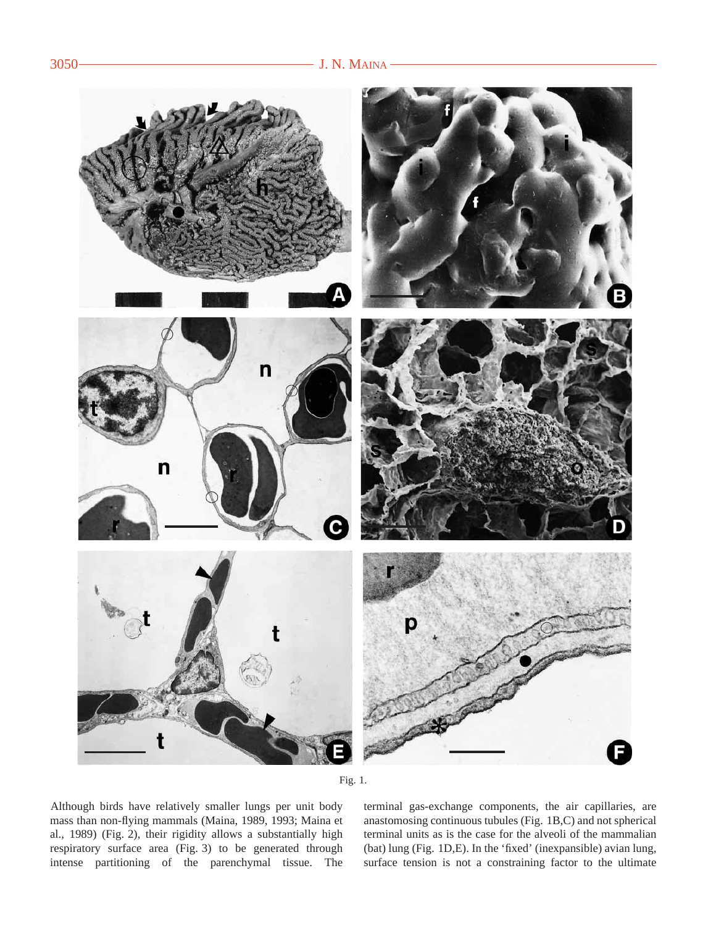



Although birds have relatively smaller lungs per unit body mass than non-flying mammals (Maina, 1989, 1993; Maina et al., 1989) (Fig. 2), their rigidity allows a substantially high respiratory surface area (Fig. 3) to be generated through intense partitioning of the parenchymal tissue. The terminal gas-exchange components, the air capillaries, are anastomosing continuous tubules (Fig. 1B,C) and not spherical terminal units as is the case for the alveoli of the mammalian (bat) lung (Fig. 1D,E). In the 'fixed' (inexpansible) avian lung, surface tension is not a constraining factor to the ultimate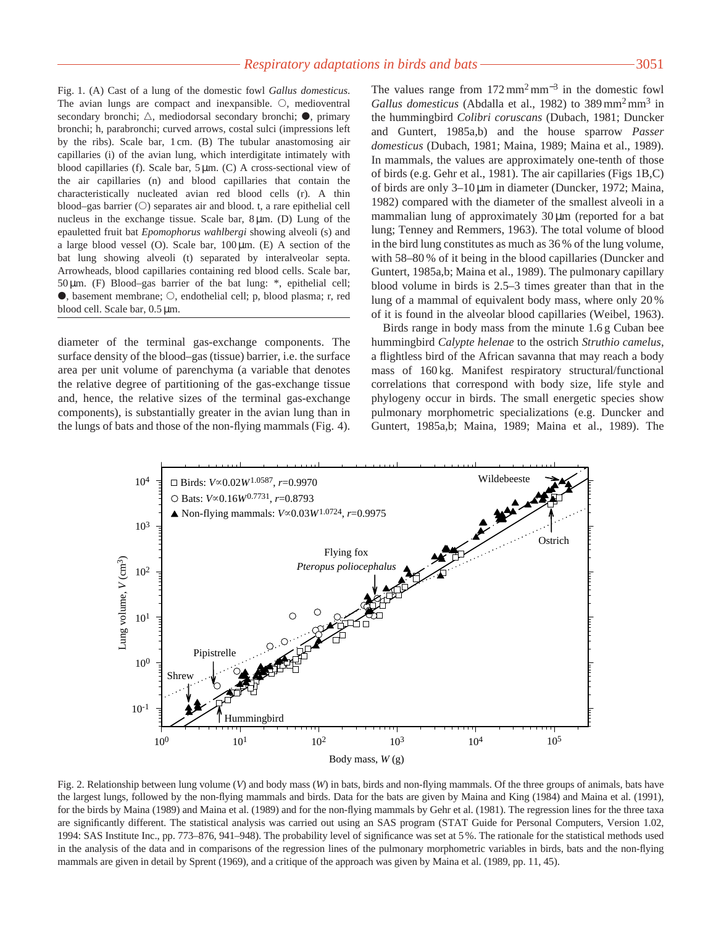Fig. 1. (A) Cast of a lung of the domestic fowl *Gallus domesticus*. The avian lungs are compact and inexpansible.  $\circ$ , medioventral secondary bronchi;  $\triangle$ , mediodorsal secondary bronchi;  $\bullet$ , primary bronchi; h, parabronchi; curved arrows, costal sulci (impressions left by the ribs). Scale bar, 1 cm. (B) The tubular anastomosing air capillaries (i) of the avian lung, which interdigitate intimately with blood capillaries (f). Scale bar, 5 µm. (C) A cross-sectional view of the air capillaries (n) and blood capillaries that contain the characteristically nucleated avian red blood cells (r). A thin blood–gas barrier  $(O)$  separates air and blood. t, a rare epithelial cell nucleus in the exchange tissue. Scale bar, 8 µm. (D) Lung of the epauletted fruit bat *Epomophorus wahlbergi* showing alveoli (s) and a large blood vessel (O). Scale bar, 100 µm. (E) A section of the bat lung showing alveoli (t) separated by interalveolar septa. Arrowheads, blood capillaries containing red blood cells. Scale bar, 50 µm. (F) Blood–gas barrier of the bat lung: \*, epithelial cell;  $\bullet$ , basement membrane;  $\circ$ , endothelial cell; p, blood plasma; r, red blood cell. Scale bar, 0.5 µm.

diameter of the terminal gas-exchange components. The surface density of the blood–gas (tissue) barrier, i.e. the surface area per unit volume of parenchyma (a variable that denotes the relative degree of partitioning of the gas-exchange tissue and, hence, the relative sizes of the terminal gas-exchange components), is substantially greater in the avian lung than in the lungs of bats and those of the non-flying mammals (Fig. 4). The values range from  $172 \text{ mm}^2 \text{ mm}^{-3}$  in the domestic fowl *Gallus domesticus* (Abdalla et al., 1982) to 389 mm<sup>2</sup> mm<sup>3</sup> in the hummingbird *Colibri coruscans* (Dubach, 1981; Duncker and Guntert, 1985a,b) and the house sparrow *Passer domesticus* (Dubach, 1981; Maina, 1989; Maina et al., 1989). In mammals, the values are approximately one-tenth of those of birds (e.g. Gehr et al., 1981). The air capillaries (Figs 1B,C) of birds are only 3–10 µm in diameter (Duncker, 1972; Maina, 1982) compared with the diameter of the smallest alveoli in a mammalian lung of approximately 30  $\mu$ m (reported for a bat lung; Tenney and Remmers, 1963). The total volume of blood in the bird lung constitutes as much as 36 % of the lung volume, with 58–80 % of it being in the blood capillaries (Duncker and Guntert, 1985a,b; Maina et al., 1989). The pulmonary capillary blood volume in birds is 2.5–3 times greater than that in the lung of a mammal of equivalent body mass, where only 20 % of it is found in the alveolar blood capillaries (Weibel, 1963).

Birds range in body mass from the minute 1.6 g Cuban bee hummingbird *Calypte helenae* to the ostrich *Struthio camelus*, a flightless bird of the African savanna that may reach a body mass of 160 kg. Manifest respiratory structural/functional correlations that correspond with body size, life style and phylogeny occur in birds. The small energetic species show pulmonary morphometric specializations (e.g. Duncker and Guntert, 1985a,b; Maina, 1989; Maina et al., 1989). The



Fig. 2. Relationship between lung volume (*V*) and body mass (*W*) in bats, birds and non-flying mammals. Of the three groups of animals, bats have the largest lungs, followed by the non-flying mammals and birds. Data for the bats are given by Maina and King (1984) and Maina et al. (1991), for the birds by Maina (1989) and Maina et al. (1989) and for the non-flying mammals by Gehr et al. (1981). The regression lines for the three taxa are significantly different. The statistical analysis was carried out using an SAS program (STAT Guide for Personal Computers, Version 1.02, 1994: SAS Institute Inc., pp. 773–876, 941–948). The probability level of significance was set at 5 %. The rationale for the statistical methods used in the analysis of the data and in comparisons of the regression lines of the pulmonary morphometric variables in birds, bats and the non-flying mammals are given in detail by Sprent (1969), and a critique of the approach was given by Maina et al. (1989, pp. 11, 45).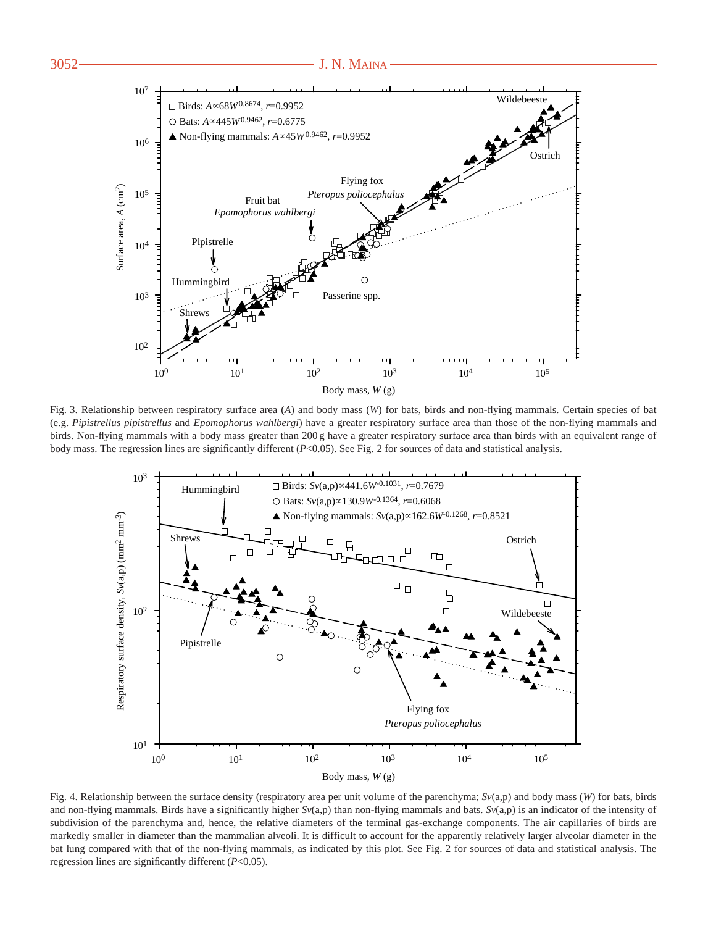

Fig. 3. Relationship between respiratory surface area (*A*) and body mass (*W*) for bats, birds and non-flying mammals. Certain species of bat (e.g. *Pipistrellus pipistrellus* and *Epomophorus wahlbergi*) have a greater respiratory surface area than those of the non-flying mammals and birds. Non-flying mammals with a body mass greater than 200 g have a greater respiratory surface area than birds with an equivalent range of body mass. The regression lines are significantly different (*P*<0.05). See Fig. 2 for sources of data and statistical analysis.



Fig. 4. Relationship between the surface density (respiratory area per unit volume of the parenchyma; *Sv*(a,p) and body mass (*W*) for bats, birds and non-flying mammals. Birds have a significantly higher *Sv*(a,p) than non-flying mammals and bats. *Sv*(a,p) is an indicator of the intensity of subdivision of the parenchyma and, hence, the relative diameters of the terminal gas-exchange components. The air capillaries of birds are markedly smaller in diameter than the mammalian alveoli. It is difficult to account for the apparently relatively larger alveolar diameter in the bat lung compared with that of the non-flying mammals, as indicated by this plot. See Fig. 2 for sources of data and statistical analysis. The regression lines are significantly different (*P*<0.05).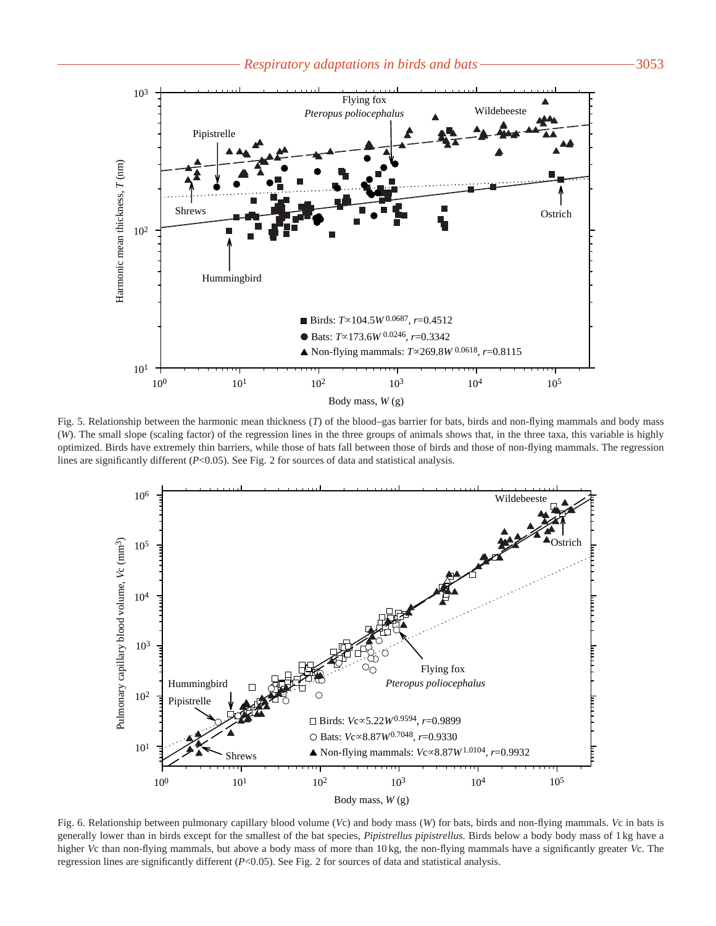

Fig. 5. Relationship between the harmonic mean thickness (*T*) of the blood–gas barrier for bats, birds and non-flying mammals and body mass (*W*). The small slope (scaling factor) of the regression lines in the three groups of animals shows that, in the three taxa, this variable is highly optimized. Birds have extremely thin barriers, while those of bats fall between those of birds and those of non-flying mammals. The regression lines are significantly different (*P*<0.05). See Fig. 2 for sources of data and statistical analysis.



Fig. 6. Relationship between pulmonary capillary blood volume (*V*c) and body mass (*W*) for bats, birds and non-flying mammals. *V*c in bats is generally lower than in birds except for the smallest of the bat species, *Pipistrellus pipistrellus*. Birds below a body body mass of 1 kg have a higher *V*c than non-flying mammals, but above a body mass of more than 10 kg, the non-flying mammals have a significantly greater *V*c. The regression lines are significantly different (*P*<0.05). See Fig. 2 for sources of data and statistical analysis.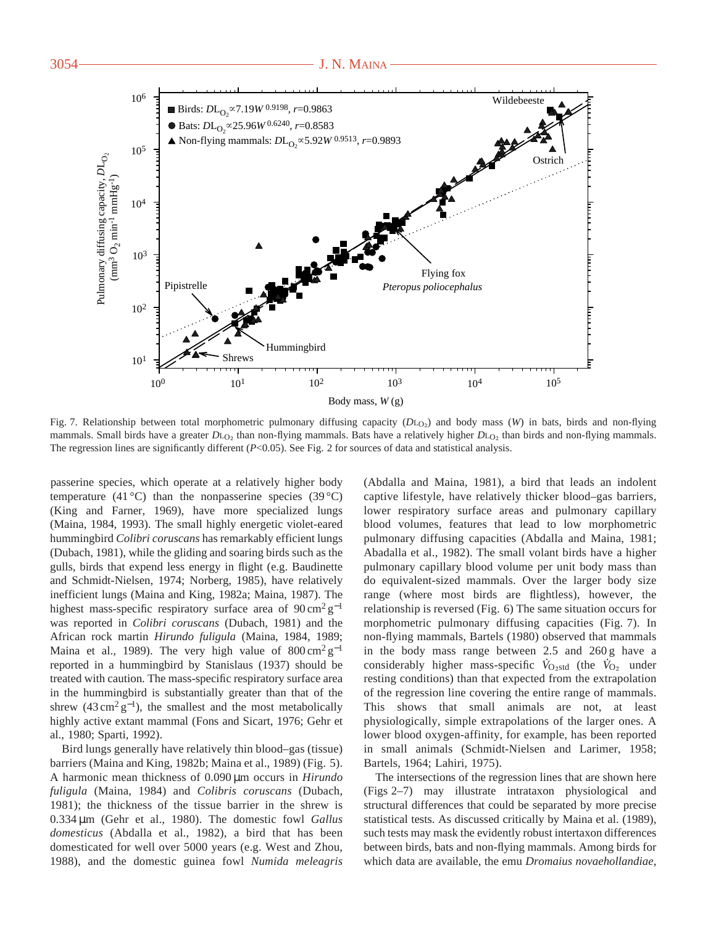

Fig. 7. Relationship between total morphometric pulmonary diffusing capacity (*D*L<sub>O2</sub>) and body mass (*W*) in bats, birds and non-flying mammals. Small birds have a greater *D*L<sub>O2</sub> than non-flying mammals. Bats have a relatively higher *D*L<sub>O2</sub> than birds and non-flying mammals. The regression lines are significantly different (*P*<0.05). See Fig. 2 for sources of data and statistical analysis.

passerine species, which operate at a relatively higher body temperature (41 °C) than the nonpasserine species (39 °C) (King and Farner, 1969), have more specialized lungs (Maina, 1984, 1993). The small highly energetic violet-eared hummingbird *Colibri coruscans* has remarkably efficient lungs (Dubach, 1981), while the gliding and soaring birds such as the gulls, birds that expend less energy in flight (e.g. Baudinette and Schmidt-Nielsen, 1974; Norberg, 1985), have relatively inefficient lungs (Maina and King, 1982a; Maina, 1987). The highest mass-specific respiratory surface area of  $90 \text{ cm}^2 \text{ g}^{-1}$ was reported in *Colibri coruscans* (Dubach, 1981) and the African rock martin *Hirundo fuligula* (Maina, 1984, 1989; Maina et al., 1989). The very high value of  $800 \text{ cm}^2 \text{ g}^{-1}$ reported in a hummingbird by Stanislaus (1937) should be treated with caution. The mass-specific respiratory surface area in the hummingbird is substantially greater than that of the shrew  $(43 \text{ cm}^2 \text{ g}^{-1})$ , the smallest and the most metabolically highly active extant mammal (Fons and Sicart, 1976; Gehr et al., 1980; Sparti, 1992).

Bird lungs generally have relatively thin blood–gas (tissue) barriers (Maina and King, 1982b; Maina et al., 1989) (Fig. 5). A harmonic mean thickness of 0.090 µm occurs in *Hirundo fuligula* (Maina, 1984) and *Colibris coruscans* (Dubach, 1981); the thickness of the tissue barrier in the shrew is 0.334 µm (Gehr et al., 1980). The domestic fowl *Gallus domesticus* (Abdalla et al., 1982), a bird that has been domesticated for well over 5000 years (e.g. West and Zhou, 1988), and the domestic guinea fowl *Numida meleagris*

(Abdalla and Maina, 1981), a bird that leads an indolent captive lifestyle, have relatively thicker blood–gas barriers, lower respiratory surface areas and pulmonary capillary blood volumes, features that lead to low morphometric pulmonary diffusing capacities (Abdalla and Maina, 1981; Abadalla et al., 1982). The small volant birds have a higher pulmonary capillary blood volume per unit body mass than do equivalent-sized mammals. Over the larger body size range (where most birds are flightless), however, the relationship is reversed (Fig. 6) The same situation occurs for morphometric pulmonary diffusing capacities (Fig. 7). In non-flying mammals, Bartels (1980) observed that mammals in the body mass range between 2.5 and 260 g have a considerably higher mass-specific  $\dot{V}_{\text{O}_2\text{std}}$  (the  $\dot{V}_{\text{O}_2}$  under resting conditions) than that expected from the extrapolation of the regression line covering the entire range of mammals. This shows that small animals are not, at least physiologically, simple extrapolations of the larger ones. A lower blood oxygen-affinity, for example, has been reported in small animals (Schmidt-Nielsen and Larimer, 1958; Bartels, 1964; Lahiri, 1975).

The intersections of the regression lines that are shown here (Figs 2–7) may illustrate intrataxon physiological and structural differences that could be separated by more precise statistical tests. As discussed critically by Maina et al. (1989), such tests may mask the evidently robust intertaxon differences between birds, bats and non-flying mammals. Among birds for which data are available, the emu *Dromaius novaehollandiae*,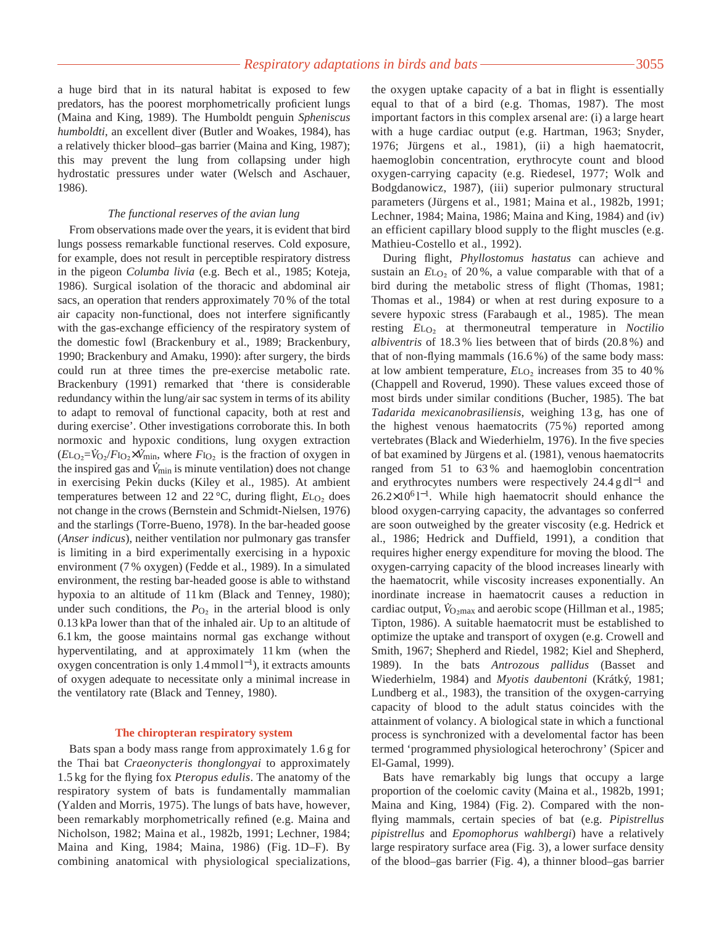a huge bird that in its natural habitat is exposed to few predators, has the poorest morphometrically proficient lungs (Maina and King, 1989). The Humboldt penguin *Spheniscus humboldti*, an excellent diver (Butler and Woakes, 1984), has a relatively thicker blood–gas barrier (Maina and King, 1987); this may prevent the lung from collapsing under high hydrostatic pressures under water (Welsch and Aschauer, 1986).

## *The functional reserves of the avian lung*

From observations made over the years, it is evident that bird lungs possess remarkable functional reserves. Cold exposure, for example, does not result in perceptible respiratory distress in the pigeon *Columba livia* (e.g. Bech et al., 1985; Koteja, 1986). Surgical isolation of the thoracic and abdominal air sacs, an operation that renders approximately 70 % of the total air capacity non-functional, does not interfere significantly with the gas-exchange efficiency of the respiratory system of the domestic fowl (Brackenbury et al., 1989; Brackenbury, 1990; Brackenbury and Amaku, 1990): after surgery, the birds could run at three times the pre-exercise metabolic rate. Brackenbury (1991) remarked that 'there is considerable redundancy within the lung/air sac system in terms of its ability to adapt to removal of functional capacity, both at rest and during exercise'. Other investigations corroborate this. In both normoxic and hypoxic conditions, lung oxygen extraction  $(E_{LQ_2} = V_{Q_2}/F_{IQ_2} \times V_{min}$ , where  $F_{IQ_2}$  is the fraction of oxygen in the inspired gas and *V* min is minute ventilation) does not change in exercising Pekin ducks (Kiley et al., 1985). At ambient temperatures between 12 and 22 °C, during flight, *E*L<sub>O2</sub> does not change in the crows (Bernstein and Schmidt-Nielsen, 1976) and the starlings (Torre-Bueno, 1978). In the bar-headed goose (*Anser indicus*), neither ventilation nor pulmonary gas transfer is limiting in a bird experimentally exercising in a hypoxic environment (7 % oxygen) (Fedde et al., 1989). In a simulated environment, the resting bar-headed goose is able to withstand hypoxia to an altitude of 11 km (Black and Tenney, 1980); under such conditions, the  $P_{\text{O}_2}$  in the arterial blood is only 0.13 kPa lower than that of the inhaled air. Up to an altitude of 6.1 km, the goose maintains normal gas exchange without hyperventilating, and at approximately 11 km (when the oxygen concentration is only 1.4 mmol l<sup>−</sup>1), it extracts amounts of oxygen adequate to necessitate only a minimal increase in the ventilatory rate (Black and Tenney, 1980).

## **The chiropteran respiratory system**

Bats span a body mass range from approximately 1.6 g for the Thai bat *Craeonycteris thonglongyai* to approximately 1.5 kg for the flying fox *Pteropus edulis*. The anatomy of the respiratory system of bats is fundamentally mammalian (Yalden and Morris, 1975). The lungs of bats have, however, been remarkably morphometrically refined (e.g. Maina and Nicholson, 1982; Maina et al., 1982b, 1991; Lechner, 1984; Maina and King, 1984; Maina, 1986) (Fig. 1D–F). By combining anatomical with physiological specializations,

the oxygen uptake capacity of a bat in flight is essentially equal to that of a bird (e.g. Thomas, 1987). The most important factors in this complex arsenal are: (i) a large heart with a huge cardiac output (e.g. Hartman, 1963; Snyder, 1976; Jürgens et al., 1981), (ii) a high haematocrit, haemoglobin concentration, erythrocyte count and blood oxygen-carrying capacity (e.g. Riedesel, 1977; Wolk and Bodgdanowicz, 1987), (iii) superior pulmonary structural parameters (Jürgens et al., 1981; Maina et al., 1982b, 1991; Lechner, 1984; Maina, 1986; Maina and King, 1984) and (iv) an efficient capillary blood supply to the flight muscles (e.g. Mathieu-Costello et al., 1992).

During flight, *Phyllostomus hastatus* can achieve and sustain an  $E_{\text{L}_2}$  of 20%, a value comparable with that of a bird during the metabolic stress of flight (Thomas, 1981; Thomas et al., 1984) or when at rest during exposure to a severe hypoxic stress (Farabaugh et al., 1985). The mean resting *E*LO∑ at thermoneutral temperature in *Noctilio albiventris* of 18.3 % lies between that of birds (20.8 %) and that of non-flying mammals (16.6 %) of the same body mass: at low ambient temperature,  $E_{\text{LO}_2}$  increases from 35 to 40 % (Chappell and Roverud, 1990). These values exceed those of most birds under similar conditions (Bucher, 1985). The bat *Tadarida mexicanobrasiliensis*, weighing 13 g, has one of the highest venous haematocrits (75 %) reported among vertebrates (Black and Wiederhielm, 1976). In the five species of bat examined by Jürgens et al. (1981), venous haematocrits ranged from 51 to 63 % and haemoglobin concentration and erythrocytes numbers were respectively 24.4 g dl−<sup>1</sup> and 26.2×10<sup>6</sup>1<sup>-1</sup>. While high haematocrit should enhance the blood oxygen-carrying capacity, the advantages so conferred are soon outweighed by the greater viscosity (e.g. Hedrick et al., 1986; Hedrick and Duffield, 1991), a condition that requires higher energy expenditure for moving the blood. The oxygen-carrying capacity of the blood increases linearly with the haematocrit, while viscosity increases exponentially. An inordinate increase in haematocrit causes a reduction in . cardiac output,  $\dot{V}_{\text{O}_2\text{max}}$  and aerobic scope (Hillman et al., 1985; Tipton, 1986). A suitable haematocrit must be established to optimize the uptake and transport of oxygen (e.g. Crowell and Smith, 1967; Shepherd and Riedel, 1982; Kiel and Shepherd, 1989). In the bats *Antrozous pallidus* (Basset and Wiederhielm, 1984) and *Myotis daubentoni* (Krátky´, 1981; Lundberg et al., 1983), the transition of the oxygen-carrying capacity of blood to the adult status coincides with the attainment of volancy. A biological state in which a functional process is synchronized with a develomental factor has been termed 'programmed physiological heterochrony' (Spicer and El-Gamal, 1999).

Bats have remarkably big lungs that occupy a large proportion of the coelomic cavity (Maina et al., 1982b, 1991; Maina and King, 1984) (Fig. 2). Compared with the nonflying mammals, certain species of bat (e.g. *Pipistrellus pipistrellus* and *Epomophorus wahlbergi*) have a relatively large respiratory surface area (Fig. 3), a lower surface density of the blood–gas barrier (Fig. 4), a thinner blood–gas barrier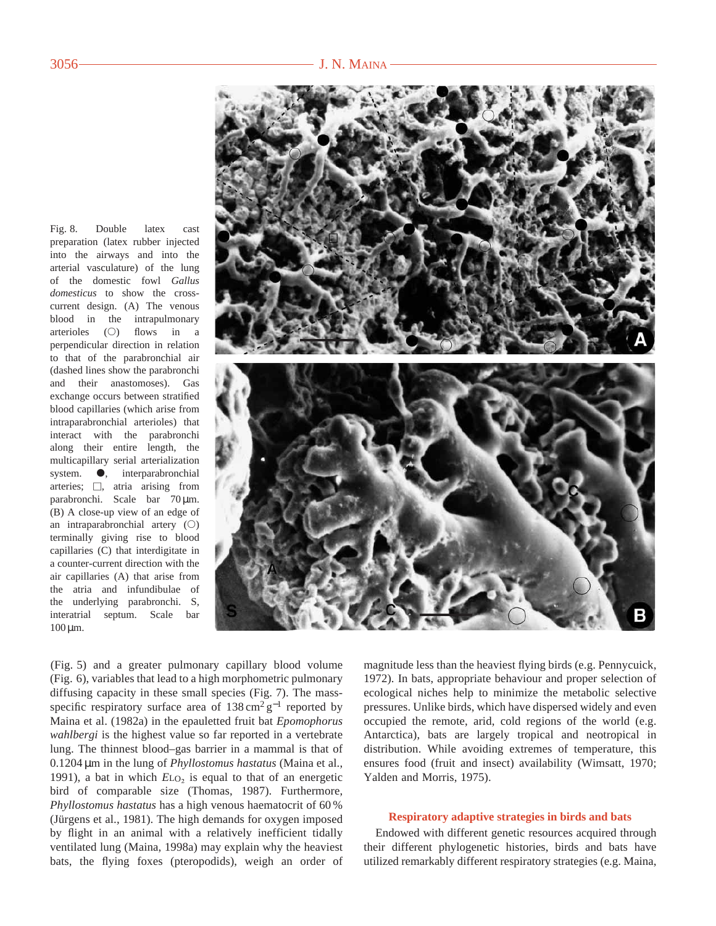Fig. 8. Double latex cast preparation (latex rubber injected into the airways and into the arterial vasculature) of the lung of the domestic fowl *Gallus domesticus* to show the crosscurrent design. (A) The venous blood in the intrapulmonary arterioles  $(O)$  flows in a perpendicular direction in relation to that of the parabronchial air (dashed lines show the parabronchi and their anastomoses). Gas exchange occurs between stratified blood capillaries (which arise from intraparabronchial arterioles) that interact with the parabronchi along their entire length, the multicapillary serial arterialization system.  $\bullet$ , interparabronchial arteries;  $\Box$ , atria arising from parabronchi. Scale bar 70 µm. (B) A close-up view of an edge of an intraparabronchial artery  $(O)$ terminally giving rise to blood capillaries (C) that interdigitate in a counter-current direction with the air capillaries (A) that arise from the atria and infundibulae of the underlying parabronchi. S, interatrial septum. Scale bar  $100 \,\mathrm{\upmu m}$ .



(Fig. 5) and a greater pulmonary capillary blood volume (Fig. 6), variables that lead to a high morphometric pulmonary diffusing capacity in these small species (Fig. 7). The massspecific respiratory surface area of  $138 \text{ cm}^2 \text{ g}^{-1}$  reported by Maina et al. (1982a) in the epauletted fruit bat *Epomophorus wahlbergi* is the highest value so far reported in a vertebrate lung. The thinnest blood–gas barrier in a mammal is that of 0.1204 µm in the lung of *Phyllostomus hastatus* (Maina et al., 1991), a bat in which  $E_{\text{L}_2}$  is equal to that of an energetic bird of comparable size (Thomas, 1987). Furthermore, *Phyllostomus hastatus* has a high venous haematocrit of 60 % (Jürgens et al., 1981). The high demands for oxygen imposed by flight in an animal with a relatively inefficient tidally ventilated lung (Maina, 1998a) may explain why the heaviest bats, the flying foxes (pteropodids), weigh an order of magnitude less than the heaviest flying birds (e.g. Pennycuick, 1972). In bats, appropriate behaviour and proper selection of ecological niches help to minimize the metabolic selective pressures. Unlike birds, which have dispersed widely and even occupied the remote, arid, cold regions of the world (e.g. Antarctica), bats are largely tropical and neotropical in distribution. While avoiding extremes of temperature, this ensures food (fruit and insect) availability (Wimsatt, 1970; Yalden and Morris, 1975).

## **Respiratory adaptive strategies in birds and bats**

Endowed with different genetic resources acquired through their different phylogenetic histories, birds and bats have utilized remarkably different respiratory strategies (e.g. Maina,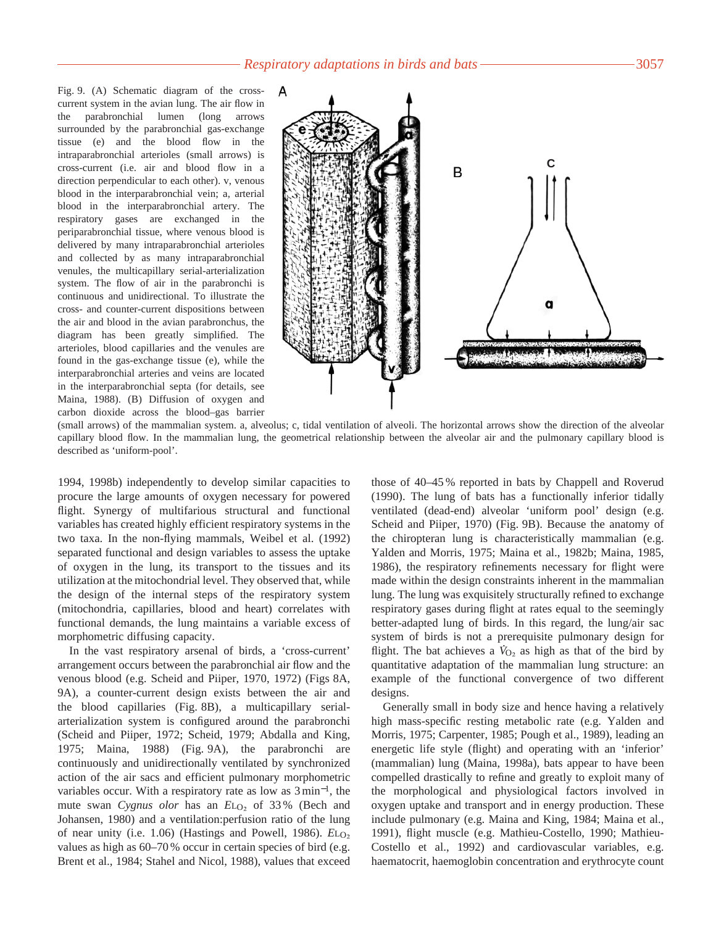Fig. 9. (A) Schematic diagram of the crosscurrent system in the avian lung. The air flow in the parabronchial lumen (long arrows surrounded by the parabronchial gas-exchange tissue (e) and the blood flow in the intraparabronchial arterioles (small arrows) is cross-current (i.e. air and blood flow in a direction perpendicular to each other). v, venous blood in the interparabronchial vein; a, arterial blood in the interparabronchial artery. The respiratory gases are exchanged in the periparabronchial tissue, where venous blood is delivered by many intraparabronchial arterioles and collected by as many intraparabronchial venules, the multicapillary serial-arterialization system. The flow of air in the parabronchi is continuous and unidirectional. To illustrate the cross- and counter-current dispositions between the air and blood in the avian parabronchus, the diagram has been greatly simplified. The arterioles, blood capillaries and the venules are found in the gas-exchange tissue (e), while the interparabronchial arteries and veins are located in the interparabronchial septa (for details, see Maina, 1988). (B) Diffusion of oxygen and carbon dioxide across the blood–gas barrier



(small arrows) of the mammalian system. a, alveolus; c, tidal ventilation of alveoli. The horizontal arrows show the direction of the alveolar capillary blood flow. In the mammalian lung, the geometrical relationship between the alveolar air and the pulmonary capillary blood is described as 'uniform-pool'.

1994, 1998b) independently to develop similar capacities to procure the large amounts of oxygen necessary for powered flight. Synergy of multifarious structural and functional variables has created highly efficient respiratory systems in the two taxa. In the non-flying mammals, Weibel et al. (1992) separated functional and design variables to assess the uptake of oxygen in the lung, its transport to the tissues and its utilization at the mitochondrial level. They observed that, while the design of the internal steps of the respiratory system (mitochondria, capillaries, blood and heart) correlates with functional demands, the lung maintains a variable excess of morphometric diffusing capacity.

In the vast respiratory arsenal of birds, a 'cross-current' arrangement occurs between the parabronchial air flow and the venous blood (e.g. Scheid and Piiper, 1970, 1972) (Figs 8A, 9A), a counter-current design exists between the air and the blood capillaries (Fig. 8B), a multicapillary serialarterialization system is configured around the parabronchi (Scheid and Piiper, 1972; Scheid, 1979; Abdalla and King, 1975; Maina, 1988) (Fig. 9A), the parabronchi are continuously and unidirectionally ventilated by synchronized action of the air sacs and efficient pulmonary morphometric variables occur. With a respiratory rate as low as 3 min<sup>−</sup>1, the mute swan *Cygnus olor* has an  $E_{LO<sub>2</sub>}$  of 33% (Bech and Johansen, 1980) and a ventilation:perfusion ratio of the lung of near unity (i.e. 1.06) (Hastings and Powell, 1986). *E*L<sub>O2</sub> values as high as 60–70 % occur in certain species of bird (e.g. Brent et al., 1984; Stahel and Nicol, 1988), values that exceed those of 40–45 % reported in bats by Chappell and Roverud (1990). The lung of bats has a functionally inferior tidally ventilated (dead-end) alveolar 'uniform pool' design (e.g. Scheid and Piiper, 1970) (Fig. 9B). Because the anatomy of the chiropteran lung is characteristically mammalian (e.g. Yalden and Morris, 1975; Maina et al., 1982b; Maina, 1985, 1986), the respiratory refinements necessary for flight were made within the design constraints inherent in the mammalian lung. The lung was exquisitely structurally refined to exchange respiratory gases during flight at rates equal to the seemingly better-adapted lung of birds. In this regard, the lung/air sac system of birds is not a prerequisite pulmonary design for flight. The bat achieves a  $\dot{V}_{\text{O}_2}$  as high as that of the bird by quantitative adaptation of the mammalian lung structure: an example of the functional convergence of two different designs.

Generally small in body size and hence having a relatively high mass-specific resting metabolic rate (e.g. Yalden and Morris, 1975; Carpenter, 1985; Pough et al., 1989), leading an energetic life style (flight) and operating with an 'inferior' (mammalian) lung (Maina, 1998a), bats appear to have been compelled drastically to refine and greatly to exploit many of the morphological and physiological factors involved in oxygen uptake and transport and in energy production. These include pulmonary (e.g. Maina and King, 1984; Maina et al., 1991), flight muscle (e.g. Mathieu-Costello, 1990; Mathieu-Costello et al., 1992) and cardiovascular variables, e.g. haematocrit, haemoglobin concentration and erythrocyte count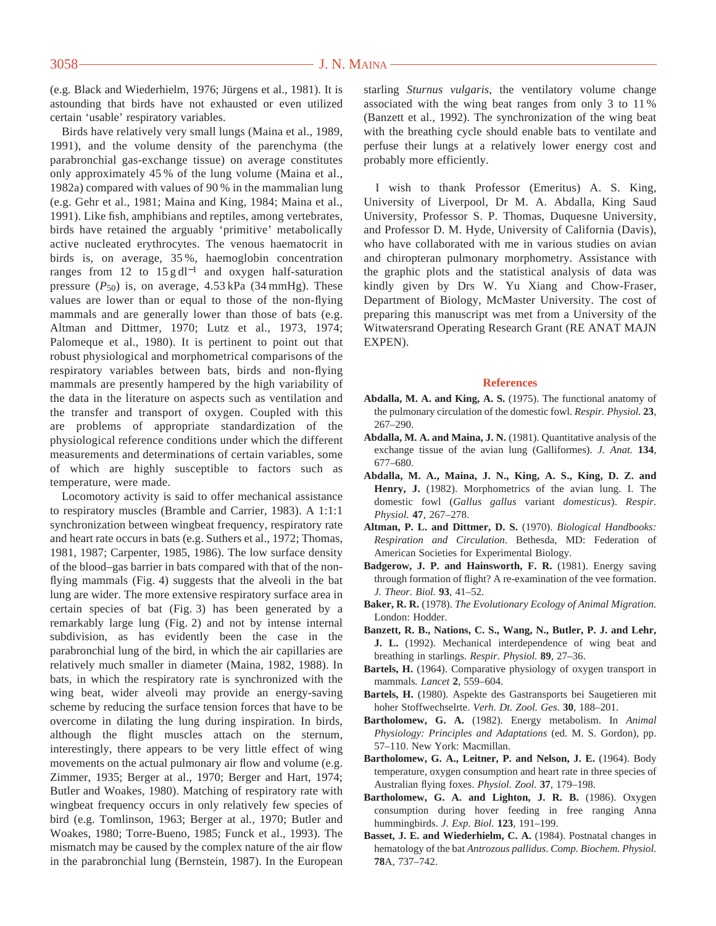(e.g. Black and Wiederhielm, 1976; Jürgens et al., 1981). It is astounding that birds have not exhausted or even utilized certain 'usable' respiratory variables.

Birds have relatively very small lungs (Maina et al., 1989, 1991), and the volume density of the parenchyma (the parabronchial gas-exchange tissue) on average constitutes only approximately 45 % of the lung volume (Maina et al., 1982a) compared with values of 90 % in the mammalian lung (e.g. Gehr et al., 1981; Maina and King, 1984; Maina et al., 1991). Like fish, amphibians and reptiles, among vertebrates, birds have retained the arguably 'primitive' metabolically active nucleated erythrocytes. The venous haematocrit in birds is, on average, 35 %, haemoglobin concentration ranges from 12 to  $15 \text{ g} \, \text{d} \text{l}^{-1}$  and oxygen half-saturation pressure  $(P_{50})$  is, on average,  $4.53$  kPa  $(34$  mmHg). These values are lower than or equal to those of the non-flying mammals and are generally lower than those of bats (e.g. Altman and Dittmer, 1970; Lutz et al., 1973, 1974; Palomeque et al., 1980). It is pertinent to point out that robust physiological and morphometrical comparisons of the respiratory variables between bats, birds and non-flying mammals are presently hampered by the high variability of the data in the literature on aspects such as ventilation and the transfer and transport of oxygen. Coupled with this are problems of appropriate standardization of the physiological reference conditions under which the different measurements and determinations of certain variables, some of which are highly susceptible to factors such as temperature, were made.

Locomotory activity is said to offer mechanical assistance to respiratory muscles (Bramble and Carrier, 1983). A 1:1:1 synchronization between wingbeat frequency, respiratory rate and heart rate occurs in bats (e.g. Suthers et al., 1972; Thomas, 1981, 1987; Carpenter, 1985, 1986). The low surface density of the blood–gas barrier in bats compared with that of the nonflying mammals (Fig. 4) suggests that the alveoli in the bat lung are wider. The more extensive respiratory surface area in certain species of bat (Fig. 3) has been generated by a remarkably large lung (Fig. 2) and not by intense internal subdivision, as has evidently been the case in the parabronchial lung of the bird, in which the air capillaries are relatively much smaller in diameter (Maina, 1982, 1988). In bats, in which the respiratory rate is synchronized with the wing beat, wider alveoli may provide an energy-saving scheme by reducing the surface tension forces that have to be overcome in dilating the lung during inspiration. In birds, although the flight muscles attach on the sternum, interestingly, there appears to be very little effect of wing movements on the actual pulmonary air flow and volume (e.g. Zimmer, 1935; Berger at al., 1970; Berger and Hart, 1974; Butler and Woakes, 1980). Matching of respiratory rate with wingbeat frequency occurs in only relatively few species of bird (e.g. Tomlinson, 1963; Berger at al., 1970; Butler and Woakes, 1980; Torre-Bueno, 1985; Funck et al., 1993). The mismatch may be caused by the complex nature of the air flow in the parabronchial lung (Bernstein, 1987). In the European starling *Sturnus vulgaris*, the ventilatory volume change associated with the wing beat ranges from only 3 to 11 % (Banzett et al., 1992). The synchronization of the wing beat with the breathing cycle should enable bats to ventilate and perfuse their lungs at a relatively lower energy cost and probably more efficiently.

I wish to thank Professor (Emeritus) A. S. King, University of Liverpool, Dr M. A. Abdalla, King Saud University, Professor S. P. Thomas, Duquesne University, and Professor D. M. Hyde, University of California (Davis), who have collaborated with me in various studies on avian and chiropteran pulmonary morphometry. Assistance with the graphic plots and the statistical analysis of data was kindly given by Drs W. Yu Xiang and Chow-Fraser, Department of Biology, McMaster University. The cost of preparing this manuscript was met from a University of the Witwatersrand Operating Research Grant (RE ANAT MAJN EXPEN).

#### **References**

- **Abdalla, M. A. and King, A. S.** (1975). The functional anatomy of the pulmonary circulation of the domestic fowl. *Respir. Physiol.* **23**, 267–290.
- **Abdalla, M. A. and Maina, J. N.** (1981). Quantitative analysis of the exchange tissue of the avian lung (Galliformes). *J. Anat.* **134**, 677–680.
- **Abdalla, M. A., Maina, J. N., King, A. S., King, D. Z. and Henry, J.** (1982). Morphometrics of the avian lung. I. The domestic fowl (*Gallus gallus* variant *domesticus*). *Respir. Physiol.* **47**, 267–278.
- **Altman, P. L. and Dittmer, D. S.** (1970). *Biological Handbooks: Respiration and Circulation*. Bethesda, MD: Federation of American Societies for Experimental Biology.
- **Badgerow, J. P. and Hainsworth, F. R.** (1981). Energy saving through formation of flight? A re-examination of the vee formation. *J. Theor. Biol.* **93**, 41–52.
- **Baker, R. R.** (1978). *The Evolutionary Ecology of Animal Migration.* London: Hodder.
- **Banzett, R. B., Nations, C. S., Wang, N., Butler, P. J. and Lehr, J. L.** (1992). Mechanical interdependence of wing beat and breathing in starlings. *Respir. Physiol.* **89**, 27–36.
- **Bartels, H.** (1964). Comparative physiology of oxygen transport in mammals*. Lancet* **2**, 559–604.
- **Bartels, H.** (1980). Aspekte des Gastransports bei Saugetieren mit hoher Stoffwechselrte. *Verh. Dt. Zool. Ges*. **30**, 188–201.
- **Bartholomew, G. A.** (1982). Energy metabolism. In *Animal Physiology: Principles and Adaptations* (ed. M. S. Gordon), pp. 57–110. New York: Macmillan.
- **Bartholomew, G. A., Leitner, P. and Nelson, J. E.** (1964). Body temperature, oxygen consumption and heart rate in three species of Australian flying foxes. *Physiol. Zool.* **37**, 179–198.
- **Bartholomew, G. A. and Lighton, J. R. B.** (1986). Oxygen consumption during hover feeding in free ranging Anna hummingbirds. *J. Exp. Biol.* **123**, 191–199.
- **Basset, J. E. and Wiederhielm, C. A.** (1984). Postnatal changes in hematology of the bat *Antrozous pallidus*. *Comp. Biochem. Physiol.* **78**A, 737–742.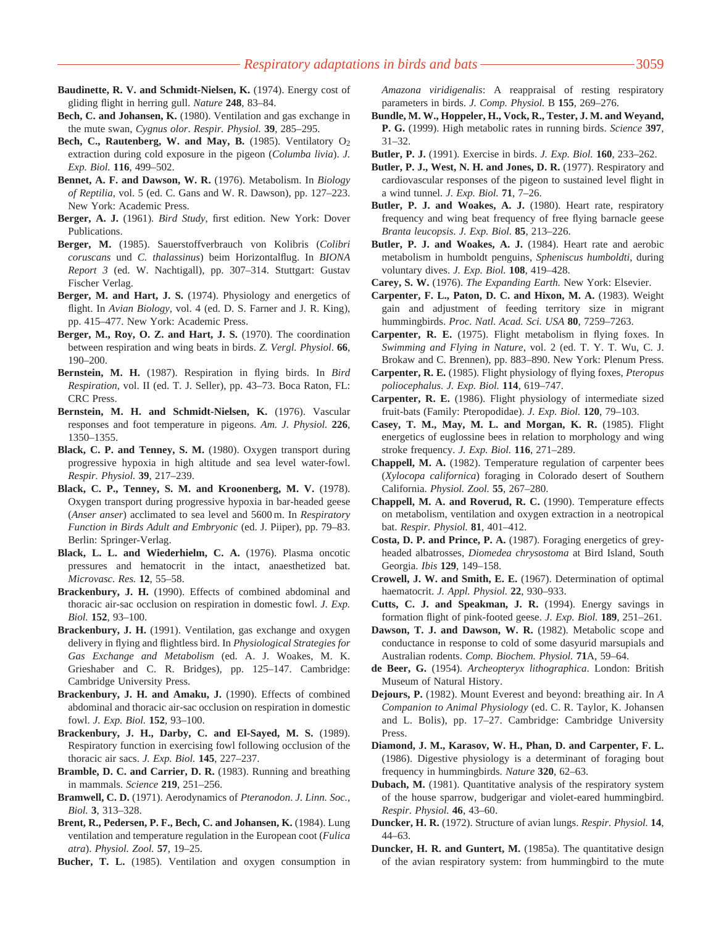- **Baudinette, R. V. and Schmidt-Nielsen, K.** (1974). Energy cost of gliding flight in herring gull. *Nature* **248**, 83–84.
- **Bech, C. and Johansen, K.** (1980). Ventilation and gas exchange in the mute swan, *Cygnus olor*. *Respir. Physiol.* **39**, 285–295.
- Bech, C., Rautenberg, W. and May, B. (1985). Ventilatory O<sub>2</sub> extraction during cold exposure in the pigeon (*Columba livia*). *J. Exp. Biol.* **116**, 499–502.
- **Bennet, A. F. and Dawson, W. R.** (1976). Metabolism. In *Biology of Reptilia*, vol. 5 (ed. C. Gans and W. R. Dawson), pp. 127–223. New York: Academic Press.
- **Berger, A. J.** (1961). *Bird Study*, first edition. New York: Dover Publications.
- **Berger, M.** (1985). Sauerstoffverbrauch von Kolibris (*Colibri coruscans* und *C. thalassinus*) beim Horizontalflug. In *BIONA Report 3* (ed. W. Nachtigall), pp. 307–314. Stuttgart: Gustav Fischer Verlag.
- **Berger, M. and Hart, J. S.** (1974). Physiology and energetics of flight. In *Avian Biology*, vol. 4 (ed. D. S. Farner and J. R. King), pp. 415–477. New York: Academic Press.
- **Berger, M., Roy, O. Z. and Hart, J. S.** (1970). The coordination between respiration and wing beats in birds. *Z. Vergl. Physiol*. **66**, 190–200.
- **Bernstein, M. H.** (1987). Respiration in flying birds. In *Bird Respiration*, vol. II (ed. T. J. Seller), pp. 43–73. Boca Raton, FL: CRC Press.
- **Bernstein, M. H. and Schmidt-Nielsen, K.** (1976). Vascular responses and foot temperature in pigeons. *Am. J. Physiol.* **226**, 1350–1355.
- **Black, C. P. and Tenney, S. M.** (1980). Oxygen transport during progressive hypoxia in high altitude and sea level water-fowl. *Respir. Physiol.* **39**, 217–239.
- **Black, C. P., Tenney, S. M. and Kroonenberg, M. V.** (1978). Oxygen transport during progressive hypoxia in bar-headed geese (*Anser anser*) acclimated to sea level and 5600 m. In *Respiratory Function in Birds Adult and Embryonic* (ed. J. Piiper), pp. 79–83. Berlin: Springer-Verlag.
- **Black, L. L. and Wiederhielm, C. A.** (1976). Plasma oncotic pressures and hematocrit in the intact, anaesthetized bat. *Microvasc. Res.* **12**, 55–58.
- **Brackenbury, J. H.** (1990). Effects of combined abdominal and thoracic air-sac occlusion on respiration in domestic fowl. *J. Exp. Biol.* **152**, 93–100.
- **Brackenbury, J. H.** (1991). Ventilation, gas exchange and oxygen delivery in flying and flightless bird. In *Physiological Strategies for Gas Exchange and Metabolism* (ed. A. J. Woakes, M. K. Grieshaber and C. R. Bridges), pp. 125–147. Cambridge: Cambridge University Press.
- **Brackenbury, J. H. and Amaku, J.** (1990). Effects of combined abdominal and thoracic air-sac occlusion on respiration in domestic fowl. *J. Exp. Biol.* **152**, 93–100.
- **Brackenbury, J. H., Darby, C. and El-Sayed, M. S.** (1989). Respiratory function in exercising fowl following occlusion of the thoracic air sacs. *J. Exp. Biol.* **145**, 227–237.
- **Bramble, D. C. and Carrier, D. R.** (1983). Running and breathing in mammals. *Science* **219**, 251–256.
- **Bramwell, C. D.** (1971). Aerodynamics of *Pteranodon*. *J. Linn. Soc., Biol.* **3**, 313–328.
- **Brent, R., Pedersen, P. F., Bech, C. and Johansen, K.** (1984). Lung ventilation and temperature regulation in the European coot (*Fulica atra*). *Physiol. Zool.* **57**, 19–25.

**Bucher, T. L.** (1985). Ventilation and oxygen consumption in

*Amazona viridigenalis*: A reappraisal of resting respiratory parameters in birds. *J. Comp. Physiol.* B **155**, 269–276.

- **Bundle, M. W., Hoppeler, H., Vock, R., Tester, J. M. and Weyand, P. G.** (1999). High metabolic rates in running birds. *Science* **397**, 31–32.
- **Butler, P. J.** (1991). Exercise in birds. *J. Exp. Biol.* **160**, 233–262.
- **Butler, P. J., West, N. H. and Jones, D. R.** (1977). Respiratory and cardiovascular responses of the pigeon to sustained level flight in a wind tunnel. *J. Exp. Biol.* **71**, 7–26.
- **Butler, P. J. and Woakes, A. J.** (1980). Heart rate, respiratory frequency and wing beat frequency of free flying barnacle geese *Branta leucopsis*. *J. Exp. Biol.* **85**, 213–226.
- **Butler, P. J. and Woakes, A. J.** (1984). Heart rate and aerobic metabolism in humboldt penguins, *Spheniscus humboldti*, during voluntary dives. *J. Exp. Biol.* **108**, 419–428.
- **Carey, S. W.** (1976). *The Expanding Earth.* New York: Elsevier.
- **Carpenter, F. L., Paton, D. C. and Hixon, M. A.** (1983). Weight gain and adjustment of feeding territory size in migrant hummingbirds. *Proc. Natl. Acad. Sci. USA* **80**, 7259–7263.
- **Carpenter, R. E.** (1975). Flight metabolism in flying foxes. In *Swimming and Flying in Nature*, vol. 2 (ed. T. Y. T. Wu, C. J. Brokaw and C. Brennen), pp. 883–890. New York: Plenum Press.
- **Carpenter, R. E.** (1985). Flight physiology of flying foxes, *Pteropus poliocephalus*. *J. Exp. Biol.* **114**, 619–747.
- **Carpenter, R. E.** (1986). Flight physiology of intermediate sized fruit-bats (Family: Pteropodidae). *J. Exp. Biol.* **120**, 79–103.
- **Casey, T. M., May, M. L. and Morgan, K. R.** (1985). Flight energetics of euglossine bees in relation to morphology and wing stroke frequency. *J. Exp. Biol.* **116**, 271–289.
- **Chappell, M. A.** (1982). Temperature regulation of carpenter bees (*Xylocopa californica*) foraging in Colorado desert of Southern California. *Physiol. Zool.* **55**, 267–280.
- **Chappell, M. A. and Roverud, R. C.** (1990). Temperature effects on metabolism, ventilation and oxygen extraction in a neotropical bat. *Respir. Physiol.* **81**, 401–412.
- **Costa, D. P. and Prince, P. A.** (1987). Foraging energetics of greyheaded albatrosses, *Diomedea chrysostoma* at Bird Island, South Georgia. *Ibis* **129**, 149–158.
- **Crowell, J. W. and Smith, E. E.** (1967). Determination of optimal haematocrit. *J. Appl. Physiol.* **22**, 930–933.
- **Cutts, C. J. and Speakman, J. R.** (1994). Energy savings in formation flight of pink-footed geese. *J. Exp. Biol.* **189**, 251–261.
- **Dawson, T. J. and Dawson, W. R.** (1982). Metabolic scope and conductance in response to cold of some dasyurid marsupials and Australian rodents. *Comp. Biochem. Physiol.* **71**A, 59–64.
- **de Beer, G.** (1954). *Archeopteryx lithographica*. London: British Museum of Natural History.
- **Dejours, P.** (1982). Mount Everest and beyond: breathing air. In *A Companion to Animal Physiology* (ed. C. R. Taylor, K. Johansen and L. Bolis), pp. 17–27. Cambridge: Cambridge University Press.
- **Diamond, J. M., Karasov, W. H., Phan, D. and Carpenter, F. L.** (1986). Digestive physiology is a determinant of foraging bout frequency in hummingbirds. *Nature* **320**, 62–63.
- **Dubach, M.** (1981). Quantitative analysis of the respiratory system of the house sparrow, budgerigar and violet-eared hummingbird. *Respir. Physiol.* **46**, 43–60.
- **Duncker, H. R.** (1972). Structure of avian lungs. *Respir. Physiol.* **14**, 44–63.
- **Duncker, H. R. and Guntert, M.** (1985a). The quantitative design of the avian respiratory system: from hummingbird to the mute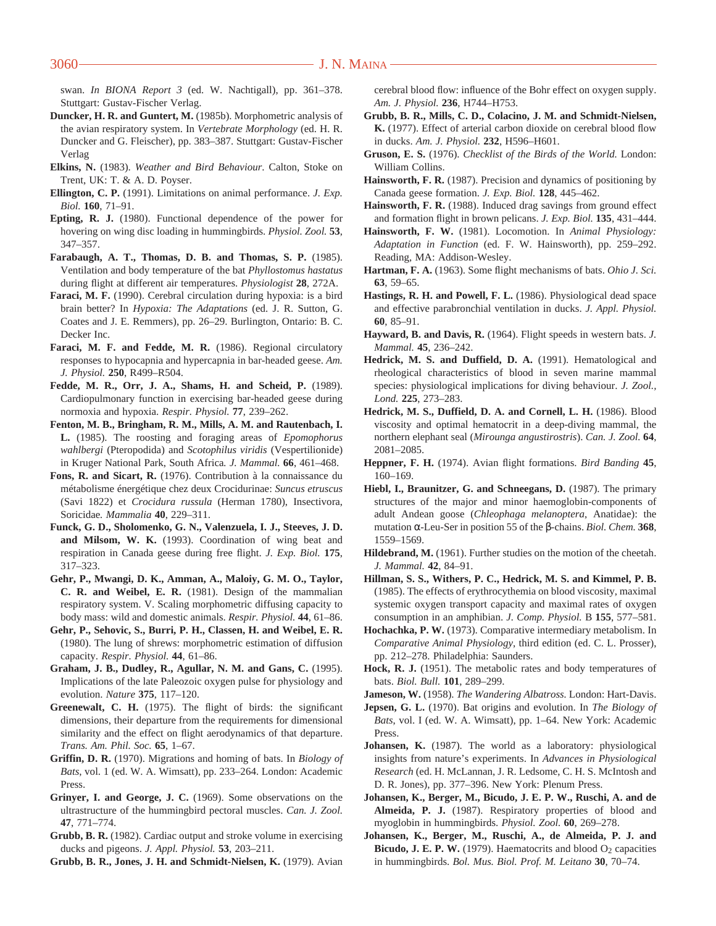swan. *In BIONA Report 3* (ed. W. Nachtigall), pp. 361–378. Stuttgart: Gustav-Fischer Verlag.

- **Duncker, H. R. and Guntert, M.** (1985b). Morphometric analysis of the avian respiratory system. In *Vertebrate Morphology* (ed. H. R. Duncker and G. Fleischer), pp. 383–387. Stuttgart: Gustav-Fischer Verlag
- **Elkins, N.** (1983). *Weather and Bird Behaviour*. Calton, Stoke on Trent, UK: T. & A. D. Poyser.
- **Ellington, C. P.** (1991). Limitations on animal performance. *J. Exp. Biol.* **160**, 71–91.
- **Epting, R. J.** (1980). Functional dependence of the power for hovering on wing disc loading in hummingbirds. *Physiol. Zool.* **53**, 347–357.
- **Farabaugh, A. T., Thomas, D. B. and Thomas, S. P.** (1985). Ventilation and body temperature of the bat *Phyllostomus hastatus* during flight at different air temperatures. *Physiologist* **28**, 272A.
- **Faraci, M. F.** (1990). Cerebral circulation during hypoxia: is a bird brain better? In *Hypoxia: The Adaptations* (ed. J. R. Sutton, G. Coates and J. E. Remmers), pp. 26–29. Burlington, Ontario: B. C. Decker Inc.
- **Faraci, M. F. and Fedde, M. R.** (1986). Regional circulatory responses to hypocapnia and hypercapnia in bar-headed geese. *Am. J. Physiol.* **250**, R499–R504.
- **Fedde, M. R., Orr, J. A., Shams, H. and Scheid, P.** (1989). Cardiopulmonary function in exercising bar-headed geese during normoxia and hypoxia. *Respir. Physiol.* **77**, 239–262.
- **Fenton, M. B., Bringham, R. M., Mills, A. M. and Rautenbach, I. L.** (1985). The roosting and foraging areas of *Epomophorus wahlbergi* (Pteropodida) and *Scotophilus viridis* (Vespertilionide) in Kruger National Park, South Africa*. J. Mammal.* **66**, 461–468.
- **Fons, R. and Sicart, R.** (1976). Contribution à la connaissance du métabolisme énergétique chez deux Crocidurinae: *Suncus etruscus* (Savi 1822) et *Crocidura russula* (Herman 1780), Insectivora, Soricidae*. Mammalia* **40**, 229–311.
- **Funck, G. D., Sholomenko, G. N., Valenzuela, I. J., Steeves, J. D. and Milsom, W. K.** (1993). Coordination of wing beat and respiration in Canada geese during free flight. *J. Exp. Biol.* **175**, 317–323.
- **Gehr, P., Mwangi, D. K., Amman, A., Maloiy, G. M. O., Taylor, C. R. and Weibel, E. R.** (1981). Design of the mammalian respiratory system. V. Scaling morphometric diffusing capacity to body mass: wild and domestic animals. *Respir. Physiol.* **44**, 61–86.
- **Gehr, P., Sehovic, S., Burri, P. H., Classen, H. and Weibel, E. R.** (1980). The lung of shrews: morphometric estimation of diffusion capacity. *Respir. Physiol.* **44**, 61–86.
- **Graham, J. B., Dudley, R., Agullar, N. M. and Gans, C.** (1995). Implications of the late Paleozoic oxygen pulse for physiology and evolution. *Nature* **375**, 117–120.
- **Greenewalt, C. H.** (1975). The flight of birds: the significant dimensions, their departure from the requirements for dimensional similarity and the effect on flight aerodynamics of that departure. *Trans. Am. Phil. Soc.* **65**, 1–67.
- **Griffin, D. R.** (1970). Migrations and homing of bats. In *Biology of Bats*, vol. 1 (ed. W. A. Wimsatt), pp. 233–264. London: Academic Press.
- **Grinyer, I. and George, J. C.** (1969). Some observations on the ultrastructure of the hummingbird pectoral muscles. *Can. J. Zool.* **47**, 771–774.
- **Grubb, B. R.** (1982). Cardiac output and stroke volume in exercising ducks and pigeons. *J. Appl. Physiol.* **53**, 203–211.
- **Grubb, B. R., Jones, J. H. and Schmidt-Nielsen, K.** (1979). Avian

cerebral blood flow: influence of the Bohr effect on oxygen supply. *Am. J. Physiol.* **236**, H744–H753.

- **Grubb, B. R., Mills, C. D., Colacino, J. M. and Schmidt-Nielsen, K.** (1977). Effect of arterial carbon dioxide on cerebral blood flow in ducks. *Am. J. Physiol.* **232**, H596–H601.
- **Gruson, E. S.** (1976). *Checklist of the Birds of the World.* London: William Collins.
- **Hainsworth, F. R.** (1987). Precision and dynamics of positioning by Canada geese formation. *J. Exp. Biol.* **128**, 445–462.
- **Hainsworth, F. R.** (1988). Induced drag savings from ground effect and formation flight in brown pelicans. *J. Exp. Biol.* **135**, 431–444.
- **Hainsworth, F. W.** (1981). Locomotion. In *Animal Physiology: Adaptation in Function* (ed. F. W. Hainsworth), pp. 259–292. Reading, MA: Addison-Wesley.
- **Hartman, F. A.** (1963). Some flight mechanisms of bats. *Ohio J. Sci.* **63**, 59–65.
- **Hastings, R. H. and Powell, F. L.** (1986). Physiological dead space and effective parabronchial ventilation in ducks. *J. Appl. Physiol.* **60**, 85–91.
- **Hayward, B. and Davis, R.** (1964). Flight speeds in western bats. *J. Mammal.* **45**, 236–242.
- **Hedrick, M. S. and Duffield, D. A.** (1991). Hematological and rheological characteristics of blood in seven marine mammal species: physiological implications for diving behaviour. *J. Zool., Lond.* **225**, 273–283.
- **Hedrick, M. S., Duffield, D. A. and Cornell, L. H.** (1986). Blood viscosity and optimal hematocrit in a deep-diving mammal, the northern elephant seal (*Mirounga angustirostris*). *Can. J. Zool.* **64**, 2081–2085.
- **Heppner, F. H.** (1974). Avian flight formations. *Bird Banding* **45**, 160–169.
- **Hiebl, I., Braunitzer, G. and Schneegans, D.** (1987). The primary structures of the major and minor haemoglobin-components of adult Andean goose (*Chleophaga melanoptera*, Anatidae): the mutation α-Leu-Ser in position 55 of the β-chains. *Biol. Chem.* **368**, 1559–1569.
- **Hildebrand, M.** (1961). Further studies on the motion of the cheetah. *J. Mammal.* **42**, 84–91.
- **Hillman, S. S., Withers, P. C., Hedrick, M. S. and Kimmel, P. B.** (1985). The effects of erythrocythemia on blood viscosity, maximal systemic oxygen transport capacity and maximal rates of oxygen consumption in an amphibian. *J. Comp. Physiol.* B **155**, 577–581.
- **Hochachka, P. W.** (1973). Comparative intermediary metabolism. In *Comparative Animal Physiology*, third edition (ed. C. L. Prosser), pp. 212–278. Philadelphia: Saunders.
- **Hock, R. J.** (1951). The metabolic rates and body temperatures of bats. *Biol. Bull.* **101**, 289–299.
- **Jameson, W.** (1958). *The Wandering Albatross.* London: Hart-Davis.
- **Jepsen, G. L.** (1970). Bat origins and evolution. In *The Biology of Bats*, vol. I (ed. W. A. Wimsatt), pp. 1–64. New York: Academic Press.
- **Johansen, K.** (1987). The world as a laboratory: physiological insights from nature's experiments. In *Advances in Physiological Research* (ed. H. McLannan, J. R. Ledsome, C. H. S. McIntosh and D. R. Jones), pp. 377–396. New York: Plenum Press.
- **Johansen, K., Berger, M., Bicudo, J. E. P. W., Ruschi, A. and de Almeida, P. J.** (1987). Respiratory properties of blood and myoglobin in hummingbirds. *Physiol. Zool.* **60**, 269–278.
- **Johansen, K., Berger, M., Ruschi, A., de Almeida, P. J. and Bicudo, J. E. P. W.** (1979). Haematocrits and blood O<sub>2</sub> capacities in hummingbirds. *Bol. Mus. Biol. Prof. M. Leitano* **30**, 70–74.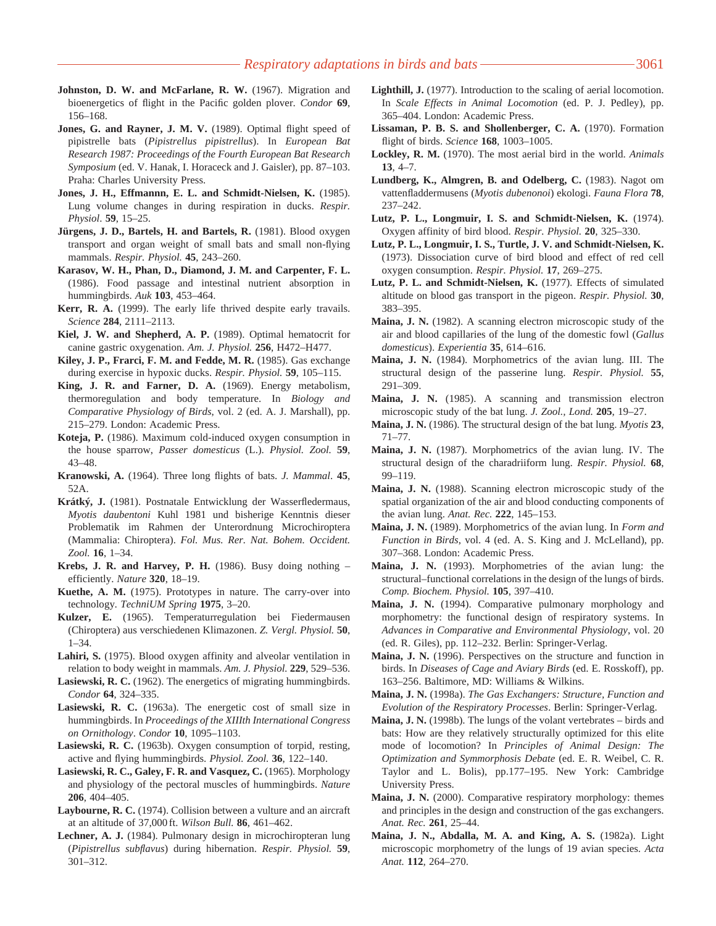- **Johnston, D. W. and McFarlane, R. W.** (1967). Migration and bioenergetics of flight in the Pacific golden plover. *Condor* **69**, 156–168.
- Jones, G. and Rayner, J. M. V. (1989). Optimal flight speed of pipistrelle bats (*Pipistrellus pipistrellus*). In *European Bat Research 1987: Proceedings of the Fourth European Bat Research Symposium* (ed. V. Hanak, I. Horaceck and J. Gaisler), pp. 87–103. Praha: Charles University Press.
- **Jones, J. H., Effmannn, E. L. and Schmidt-Nielsen, K.** (1985). Lung volume changes in during respiration in ducks. *Respir. Physiol*. **59**, 15–25.
- **Jürgens, J. D., Bartels, H. and Bartels, R.** (1981). Blood oxygen transport and organ weight of small bats and small non-flying mammals. *Respir. Physiol.* **45**, 243–260.
- **Karasov, W. H., Phan, D., Diamond, J. M. and Carpenter, F. L.** (1986). Food passage and intestinal nutrient absorption in hummingbirds. *Auk* **103**, 453–464.
- **Kerr, R. A.** (1999). The early life thrived despite early travails. *Science* **284**, 2111–2113.
- **Kiel, J. W. and Shepherd, A. P.** (1989). Optimal hematocrit for canine gastric oxygenation. *Am. J. Physiol.* **256**, H472–H477.
- **Kiley, J. P., Frarci, F. M. and Fedde, M. R.** (1985). Gas exchange during exercise in hypoxic ducks. *Respir. Physiol.* **59**, 105–115.
- **King, J. R. and Farner, D. A.** (1969). Energy metabolism, thermoregulation and body temperature. In *Biology and Comparative Physiology of Birds*, vol. 2 (ed. A. J. Marshall), pp. 215–279. London: Academic Press.
- **Koteja, P.** (1986). Maximum cold-induced oxygen consumption in the house sparrow, *Passer domesticus* (L.). *Physiol. Zool.* **59**, 43–48.
- **Kranowski, A.** (1964). Three long flights of bats. *J. Mammal*. **45**, 52A.
- **Krátky´, J.** (1981). Postnatale Entwicklung der Wasserfledermaus, *Myotis daubentoni* Kuhl 1981 und bisherige Kenntnis dieser Problematik im Rahmen der Unterordnung Microchiroptera (Mammalia: Chiroptera). *Fol. Mus. Rer. Nat. Bohem. Occident. Zool.* **16**, 1–34.
- **Krebs, J. R. and Harvey, P. H.** (1986). Busy doing nothing efficiently. *Nature* **320**, 18–19.
- **Kuethe, A. M.** (1975). Prototypes in nature. The carry-over into technology*. TechniUM Spring* **1975**, 3–20.
- **Kulzer, E.** (1965). Temperaturregulation bei Fiedermausen (Chiroptera) aus verschiedenen Klimazonen. *Z. Vergl. Physiol.* **50**, 1–34.
- **Lahiri, S.** (1975). Blood oxygen affinity and alveolar ventilation in relation to body weight in mammals. *Am. J. Physiol.* **229**, 529–536.
- **Lasiewski, R. C.** (1962). The energetics of migrating hummingbirds. *Condor* **64**, 324–335.
- **Lasiewski, R. C.** (1963a). The energetic cost of small size in hummingbirds. In *Proceedings of the XIIIth International Congress on Ornithology*. *Condor* **10**, 1095–1103.
- **Lasiewski, R. C.** (1963b). Oxygen consumption of torpid, resting, active and flying hummingbirds. *Physiol. Zool.* **36**, 122–140.
- **Lasiewski, R. C., Galey, F. R. and Vasquez, C.** (1965). Morphology and physiology of the pectoral muscles of hummingbirds. *Nature* **206**, 404–405.
- **Laybourne, R. C.** (1974). Collision between a vulture and an aircraft at an altitude of 37,000 ft. *Wilson Bull.* **86**, 461–462.
- **Lechner, A. J.** (1984). Pulmonary design in microchiropteran lung (*Pipistrellus subflavus*) during hibernation. *Respir. Physiol.* **59**, 301–312.
- **Lighthill, J.** (1977). Introduction to the scaling of aerial locomotion. In *Scale Effects in Animal Locomotion* (ed. P. J. Pedley), pp. 365–404. London: Academic Press.
- **Lissaman, P. B. S. and Shollenberger, C. A.** (1970). Formation flight of birds. *Science* **168**, 1003–1005.
- **Lockley, R. M.** (1970). The most aerial bird in the world. *Animals* **13**, 4–7.
- **Lundberg, K., Almgren, B. and Odelberg, C.** (1983). Nagot om vattenfladdermusens (*Myotis dubenonoi*) ekologi. *Fauna Flora* **78**, 237–242.
- **Lutz, P. L., Longmuir, I. S. and Schmidt-Nielsen, K.** (1974). Oxygen affinity of bird blood. *Respir. Physiol.* **20**, 325–330.
- **Lutz, P. L., Longmuir, I. S., Turtle, J. V. and Schmidt-Nielsen, K.** (1973). Dissociation curve of bird blood and effect of red cell oxygen consumption. *Respir. Physiol.* **17**, 269–275.
- **Lutz, P. L. and Schmidt-Nielsen, K.** (1977). Effects of simulated altitude on blood gas transport in the pigeon. *Respir. Physiol.* **30**, 383–395.
- **Maina, J. N.** (1982). A scanning electron microscopic study of the air and blood capillaries of the lung of the domestic fowl (*Gallus domesticus*). *Experientia* **35**, 614–616.
- **Maina, J. N.** (1984). Morphometrics of the avian lung. III. The structural design of the passerine lung. *Respir. Physiol.* **55**, 291–309.
- **Maina, J. N.** (1985). A scanning and transmission electron microscopic study of the bat lung. *J. Zool., Lond.* **205**, 19–27.
- **Maina, J. N.** (1986). The structural design of the bat lung. *Myotis* **23**, 71–77.
- **Maina, J. N.** (1987). Morphometrics of the avian lung. IV. The structural design of the charadriiform lung. *Respir. Physiol.* **68**, 99–119.
- **Maina, J. N.** (1988). Scanning electron microscopic study of the spatial organization of the air and blood conducting components of the avian lung. *Anat. Rec.* **222**, 145–153.
- **Maina, J. N.** (1989). Morphometrics of the avian lung. In *Form and Function in Birds*, vol. 4 (ed. A. S. King and J. McLelland), pp. 307–368. London: Academic Press.
- **Maina, J. N.** (1993). Morphometries of the avian lung: the structural–functional correlations in the design of the lungs of birds. *Comp. Biochem. Physiol.* **105**, 397–410.
- **Maina, J. N.** (1994). Comparative pulmonary morphology and morphometry: the functional design of respiratory systems. In *Advances in Comparative and Environmental Physiology*, vol. 20 (ed. R. Giles), pp. 112–232. Berlin: Springer-Verlag.
- **Maina, J. N.** (1996). Perspectives on the structure and function in birds. In *Diseases of Cage and Aviary Birds* (ed. E. Rosskoff), pp. 163–256. Baltimore, MD: Williams & Wilkins.
- **Maina, J. N.** (1998a). *The Gas Exchangers: Structure, Function and Evolution of the Respiratory Processes*. Berlin: Springer-Verlag.
- **Maina, J. N.** (1998b). The lungs of the volant vertebrates birds and bats: How are they relatively structurally optimized for this elite mode of locomotion? In *Principles of Animal Design: The Optimization and Symmorphosis Debate* (ed. E. R. Weibel, C. R. Taylor and L. Bolis), pp.177–195. New York: Cambridge University Press.
- **Maina, J. N.** (2000). Comparative respiratory morphology: themes and principles in the design and construction of the gas exchangers. *Anat. Rec.* **261**, 25–44.
- **Maina, J. N., Abdalla, M. A. and King, A. S.** (1982a). Light microscopic morphometry of the lungs of 19 avian species. *Acta Anat.* **112**, 264–270.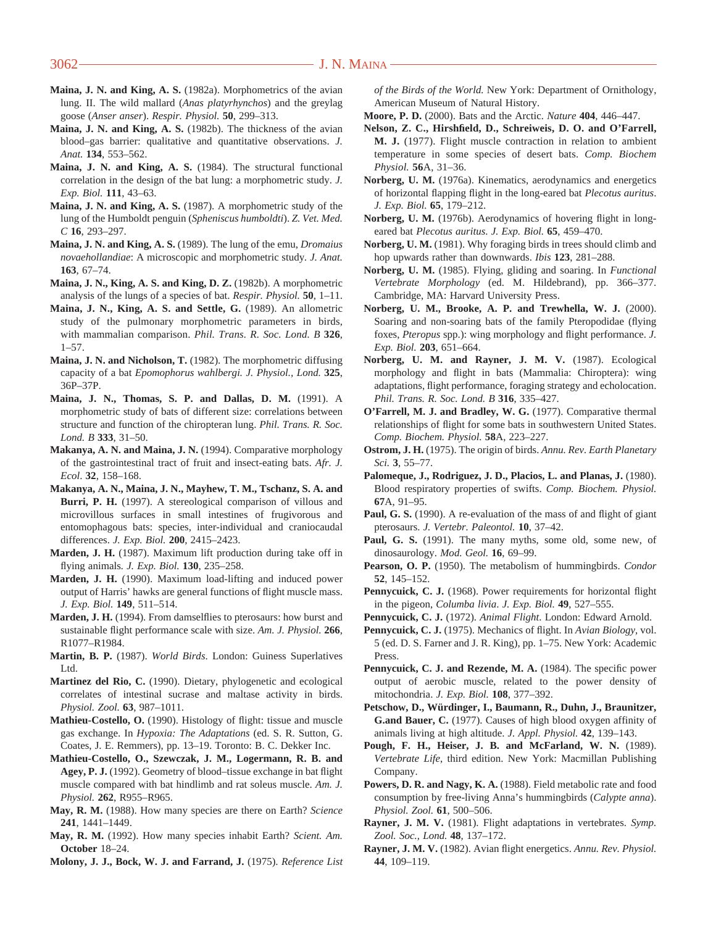- **Maina, J. N. and King, A. S.** (1982a). Morphometrics of the avian lung. II. The wild mallard (*Anas platyrhynchos*) and the greylag goose (*Anser anser*). *Respir. Physiol.* **50**, 299–313.
- **Maina, J. N. and King, A. S.** (1982b). The thickness of the avian blood–gas barrier: qualitative and quantitative observations. *J. Anat.* **134**, 553–562.
- **Maina, J. N. and King, A. S.** (1984). The structural functional correlation in the design of the bat lung: a morphometric study. *J. Exp. Biol.* **111**, 43–63.
- **Maina, J. N. and King, A. S.** (1987). A morphometric study of the lung of the Humboldt penguin (*Spheniscus humboldti*). *Z. Vet. Med. C* **16**, 293–297.
- **Maina, J. N. and King, A. S.** (1989). The lung of the emu, *Dromaius novaehollandiae*: A microscopic and morphometric study*. J. Anat.* **163**, 67–74.
- **Maina, J. N., King, A. S. and King, D. Z.** (1982b). A morphometric analysis of the lungs of a species of bat. *Respir. Physiol.* **50**, 1–11.
- **Maina, J. N., King, A. S. and Settle, G.** (1989). An allometric study of the pulmonary morphometric parameters in birds, with mammalian comparison. *Phil. Trans. R. Soc. Lond. B* **326**, 1–57.
- **Maina, J. N. and Nicholson, T.** (1982). The morphometric diffusing capacity of a bat *Epomophorus wahlbergi. J. Physiol., Lond.* **325**, 36P–37P.
- **Maina, J. N., Thomas, S. P. and Dallas, D. M.** (1991). A morphometric study of bats of different size: correlations between structure and function of the chiropteran lung. *Phil. Trans. R. Soc. Lond. B* **333**, 31–50.
- **Makanya, A. N. and Maina, J. N.** (1994). Comparative morphology of the gastrointestinal tract of fruit and insect-eating bats. *Afr. J. Ecol*. **32**, 158–168.
- **Makanya, A. N., Maina, J. N., Mayhew, T. M., Tschanz, S. A. and Burri, P. H.** (1997). A stereological comparison of villous and microvillous surfaces in small intestines of frugivorous and entomophagous bats: species, inter-individual and craniocaudal differences. *J. Exp. Biol.* **200**, 2415–2423.
- **Marden, J. H.** (1987). Maximum lift production during take off in flying animals*. J. Exp. Biol.* **130**, 235–258.
- **Marden, J. H.** (1990). Maximum load-lifting and induced power output of Harris' hawks are general functions of flight muscle mass. *J. Exp. Biol.* **149**, 511–514.
- **Marden, J. H.** (1994). From damselflies to pterosaurs: how burst and sustainable flight performance scale with size. *Am. J. Physiol.* **266**, R1077–R1984.
- **Martin, B. P.** (1987). *World Birds*. London: Guiness Superlatives Ltd.
- **Martinez del Rio, C.** (1990). Dietary, phylogenetic and ecological correlates of intestinal sucrase and maltase activity in birds. *Physiol. Zool.* **63**, 987–1011.
- **Mathieu-Costello, O.** (1990). Histology of flight: tissue and muscle gas exchange. In *Hypoxia: The Adaptations* (ed. S. R. Sutton, G. Coates, J. E. Remmers), pp. 13–19. Toronto: B. C. Dekker Inc.
- **Mathieu-Costello, O., Szewczak, J. M., Logermann, R. B. and Agey, P. J.** (1992). Geometry of blood–tissue exchange in bat flight muscle compared with bat hindlimb and rat soleus muscle. *Am. J. Physiol.* **262**, R955–R965.
- **May, R. M.** (1988). How many species are there on Earth? *Science* **241**, 1441–1449.
- **May, R. M.** (1992). How many species inhabit Earth? *Scient. Am.* **October** 18–24.
- **Molony, J. J., Bock, W. J. and Farrand, J.** (1975). *Reference List*

*of the Birds of the World.* New York: Department of Ornithology, American Museum of Natural History.

- **Moore, P. D.** (2000). Bats and the Arctic. *Nature* **404**, 446–447.
- **Nelson, Z. C., Hirshfield, D., Schreiweis, D. O. and O'Farrell, M. J.** (1977). Flight muscle contraction in relation to ambient temperature in some species of desert bats. *Comp. Biochem Physiol.* **56**A, 31–36.
- **Norberg, U. M.** (1976a). Kinematics, aerodynamics and energetics of horizontal flapping flight in the long-eared bat *Plecotus auritus*. *J. Exp. Biol.* **65**, 179–212.
- **Norberg, U. M.** (1976b). Aerodynamics of hovering flight in longeared bat *Plecotus auritus*. *J. Exp. Biol.* **65**, 459–470.
- **Norberg, U. M.** (1981). Why foraging birds in trees should climb and hop upwards rather than downwards. *Ibis* **123**, 281–288.
- **Norberg, U. M.** (1985). Flying, gliding and soaring. In *Functional Vertebrate Morphology* (ed. M. Hildebrand), pp. 366–377. Cambridge, MA: Harvard University Press.
- **Norberg, U. M., Brooke, A. P. and Trewhella, W. J.** (2000). Soaring and non-soaring bats of the family Pteropodidae (flying foxes, *Pteropus* spp.): wing morphology and flight performance. *J. Exp. Biol.* **203**, 651–664.
- **Norberg, U. M. and Rayner, J. M. V.** (1987). Ecological morphology and flight in bats (Mammalia: Chiroptera): wing adaptations, flight performance, foraging strategy and echolocation. *Phil. Trans. R. Soc. Lond. B* **316**, 335–427.
- **O'Farrell, M. J. and Bradley, W. G.** (1977). Comparative thermal relationships of flight for some bats in southwestern United States. *Comp. Biochem. Physiol.* **58**A, 223–227.
- **Ostrom, J. H.** (1975). The origin of birds. *Annu. Rev. Earth Planetary Sci.* **3**, 55–77.
- **Palomeque, J., Rodriguez, J. D., Placios, L. and Planas, J.** (1980). Blood respiratory properties of swifts. *Comp. Biochem. Physiol.* **67**A, 91–95.
- Paul, G. S. (1990). A re-evaluation of the mass of and flight of giant pterosaurs. *J. Vertebr. Paleontol.* **10**, 37–42.
- Paul, G. S. (1991). The many myths, some old, some new, of dinosaurology. *Mod. Geol.* **16**, 69–99.
- **Pearson, O. P.** (1950). The metabolism of hummingbirds. *Condor* **52**, 145–152.
- Pennycuick, C. J. (1968). Power requirements for horizontal flight in the pigeon, *Columba livia*. *J. Exp. Biol.* **49**, 527–555.
- **Pennycuick, C. J.** (1972). *Animal Flight*. London: Edward Arnold.
- **Pennycuick, C. J.** (1975). Mechanics of flight. In *Avian Biology*, vol. 5 (ed. D. S. Farner and J. R. King), pp. 1–75. New York: Academic Press.
- **Pennycuick, C. J. and Rezende, M. A.** (1984). The specific power output of aerobic muscle, related to the power density of mitochondria. *J. Exp. Biol.* **108**, 377–392.
- **Petschow, D., Würdinger, I., Baumann, R., Duhn, J., Braunitzer, G.and Bauer, C.** (1977). Causes of high blood oxygen affinity of animals living at high altitude. *J. Appl. Physiol.* **42**, 139–143.
- **Pough, F. H., Heiser, J. B. and McFarland, W. N.** (1989). *Vertebrate Life*, third edition. New York: Macmillan Publishing Company.
- **Powers, D. R. and Nagy, K. A.** (1988). Field metabolic rate and food consumption by free-living Anna's hummingbirds (*Calypte anna*). *Physiol. Zool.* **61**, 500–506.
- **Rayner, J. M. V.** (1981). Flight adaptations in vertebrates. *Symp. Zool. Soc., Lond.* **48**, 137–172.
- **Rayner, J. M. V.** (1982). Avian flight energetics. *Annu. Rev. Physiol.* **44**, 109–119.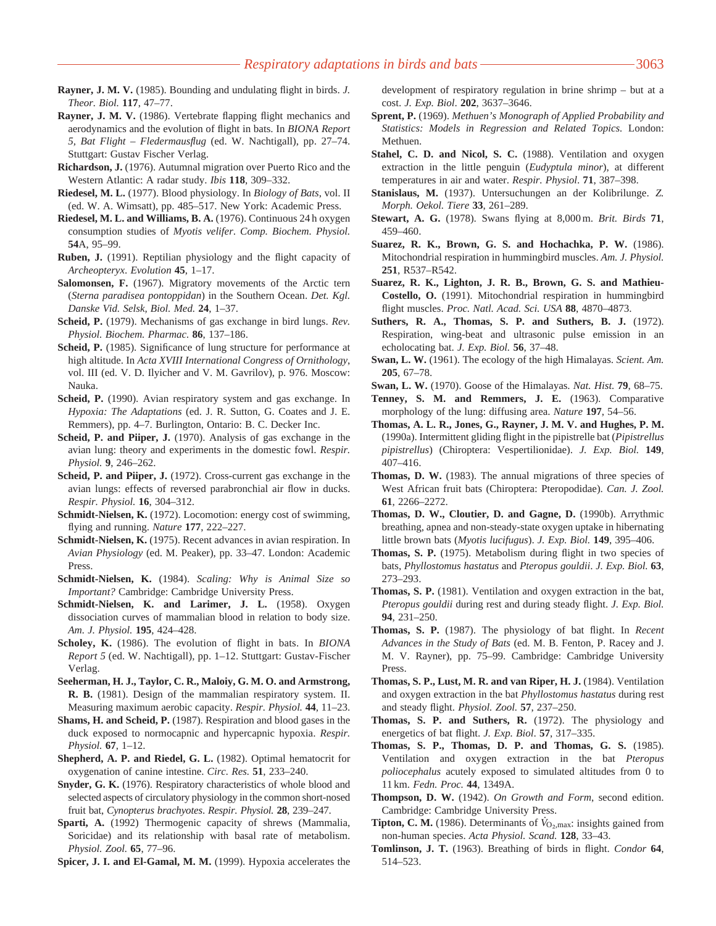- **Rayner, J. M. V.** (1985). Bounding and undulating flight in birds. *J. Theor. Biol.* **117**, 47–77.
- **Rayner, J. M. V.** (1986). Vertebrate flapping flight mechanics and aerodynamics and the evolution of flight in bats. In *BIONA Report 5, Bat Flight – Fledermausflug* (ed. W. Nachtigall), pp. 27–74. Stuttgart: Gustav Fischer Verlag.
- **Richardson, J.** (1976). Autumnal migration over Puerto Rico and the Western Atlantic: A radar study. *Ibis* **118**, 309–332.
- **Riedesel, M. L.** (1977). Blood physiology. In *Biology of Bats*, vol. II (ed. W. A. Wimsatt), pp. 485–517. New York: Academic Press.
- **Riedesel, M. L. and Williams, B. A.** (1976). Continuous 24 h oxygen consumption studies of *Myotis velifer*. *Comp. Biochem. Physiol.* **54**A, 95–99.
- **Ruben, J.** (1991). Reptilian physiology and the flight capacity of *Archeopteryx*. *Evolution* **45**, 1–17.
- **Salomonsen, F.** (1967). Migratory movements of the Arctic tern (*Sterna paradisea pontoppidan*) in the Southern Ocean. *Det. Kgl. Danske Vid. Selsk, Biol. Med.* **24**, 1–37.
- **Scheid, P.** (1979). Mechanisms of gas exchange in bird lungs. *Rev. Physiol. Biochem. Pharmac.* **86**, 137–186.
- **Scheid, P.** (1985). Significance of lung structure for performance at high altitude. In *Acta XVIII International Congress of Ornithology*, vol. III (ed. V. D. Ilyicher and V. M. Gavrilov), p. 976. Moscow: Nauka.
- **Scheid, P.** (1990). Avian respiratory system and gas exchange. In *Hypoxia: The Adaptations* (ed. J. R. Sutton, G. Coates and J. E. Remmers), pp. 4–7. Burlington, Ontario: B. C. Decker Inc.
- **Scheid, P. and Piiper, J.** (1970). Analysis of gas exchange in the avian lung: theory and experiments in the domestic fowl. *Respir. Physiol.* **9**, 246–262.
- **Scheid, P. and Piiper, J.** (1972). Cross-current gas exchange in the avian lungs: effects of reversed parabronchial air flow in ducks. *Respir. Physiol.* **16**, 304–312.
- **Schmidt-Nielsen, K.** (1972). Locomotion: energy cost of swimming, flying and running. *Nature* **177**, 222–227.
- **Schmidt-Nielsen, K.** (1975). Recent advances in avian respiration. In *Avian Physiology* (ed. M. Peaker), pp. 33–47. London: Academic Press.
- **Schmidt-Nielsen, K.** (1984). *Scaling: Why is Animal Size so Important?* Cambridge: Cambridge University Press.
- **Schmidt-Nielsen, K. and Larimer, J. L.** (1958). Oxygen dissociation curves of mammalian blood in relation to body size. *Am. J. Physiol.* **195**, 424–428.
- **Scholey, K.** (1986). The evolution of flight in bats. In *BIONA Report 5* (ed. W. Nachtigall), pp. 1–12. Stuttgart: Gustav-Fischer Verlag.
- **Seeherman, H. J., Taylor, C. R., Maloiy, G. M. O. and Armstrong, R. B.** (1981). Design of the mammalian respiratory system. II. Measuring maximum aerobic capacity. *Respir. Physiol.* **44**, 11–23.
- **Shams, H. and Scheid, P.** (1987). Respiration and blood gases in the duck exposed to normocapnic and hypercapnic hypoxia. *Respir. Physiol.* **67**, 1–12.
- **Shepherd, A. P. and Riedel, G. L.** (1982). Optimal hematocrit for oxygenation of canine intestine. *Circ. Res.* **51**, 233–240.
- **Snyder, G. K.** (1976). Respiratory characteristics of whole blood and selected aspects of circulatory physiology in the common short-nosed fruit bat, *Cynopterus brachyotes*. *Respir. Physiol.* **28**, 239–247.
- **Sparti, A.** (1992) Thermogenic capacity of shrews (Mammalia, Soricidae) and its relationship with basal rate of metabolism. *Physiol. Zool.* **65**, 77–96.

**Spicer, J. I. and El-Gamal, M. M.** (1999). Hypoxia accelerates the

development of respiratory regulation in brine shrimp – but at a cost. *J. Exp. Biol*. **202**, 3637–3646.

- **Sprent, P.** (1969). *Methuen's Monograph of Applied Probability and Statistics: Models in Regression and Related Topics.* London: Methuen.
- **Stahel, C. D. and Nicol, S. C.** (1988). Ventilation and oxygen extraction in the little penguin (*Eudyptula minor*), at different temperatures in air and water. *Respir. Physiol*. **71**, 387–398.
- **Stanislaus, M.** (1937). Untersuchungen an der Kolibrilunge. *Z. Morph. Oekol. Tiere* **33**, 261–289.
- **Stewart, A. G.** (1978). Swans flying at 8,000 m. *Brit. Birds* **71**, 459–460.
- **Suarez, R. K., Brown, G. S. and Hochachka, P. W.** (1986). Mitochondrial respiration in hummingbird muscles. *Am. J. Physiol.* **251**, R537–R542.
- **Suarez, R. K., Lighton, J. R. B., Brown, G. S. and Mathieu-Costello, O.** (1991). Mitochondrial respiration in hummingbird flight muscles. *Proc. Natl. Acad. Sci. USA* **88**, 4870–4873.
- **Suthers, R. A., Thomas, S. P. and Suthers, B. J.** (1972). Respiration, wing-beat and ultrasonic pulse emission in an echolocating bat. *J. Exp. Biol.* **56**, 37–48.
- **Swan, L. W.** (1961). The ecology of the high Himalayas. *Scient. Am.* **205**, 67–78.
- **Swan, L. W.** (1970). Goose of the Himalayas. *Nat. Hist.* **79**, 68–75.
- **Tenney, S. M. and Remmers, J. E.** (1963). Comparative morphology of the lung: diffusing area. *Nature* **197**, 54–56.
- **Thomas, A. L. R., Jones, G., Rayner, J. M. V. and Hughes, P. M.** (1990a). Intermittent gliding flight in the pipistrelle bat (*Pipistrellus pipistrellus*) (Chiroptera: Vespertilionidae). *J. Exp. Biol.* **149**, 407–416.
- **Thomas, D. W.** (1983). The annual migrations of three species of West African fruit bats (Chiroptera: Pteropodidae). *Can. J. Zool.* **61**, 2266–2272.
- **Thomas, D. W., Cloutier, D. and Gagne, D.** (1990b). Arrythmic breathing, apnea and non-steady-state oxygen uptake in hibernating little brown bats (*Myotis lucifugus*). *J. Exp. Biol.* **149**, 395–406.
- **Thomas, S. P.** (1975). Metabolism during flight in two species of bats, *Phyllostomus hastatus* and *Pteropus gouldii*. *J. Exp. Biol.* **63**, 273–293.
- **Thomas, S. P.** (1981). Ventilation and oxygen extraction in the bat, *Pteropus gouldii* during rest and during steady flight. *J. Exp. Biol.* **94**, 231–250.
- **Thomas, S. P.** (1987). The physiology of bat flight. In *Recent Advances in the Study of Bats* (ed. M. B. Fenton, P. Racey and J. M. V. Rayner), pp. 75–99. Cambridge: Cambridge University Press.
- **Thomas, S. P., Lust, M. R. and van Riper, H. J.** (1984). Ventilation and oxygen extraction in the bat *Phyllostomus hastatus* during rest and steady flight. *Physiol. Zool.* **57**, 237–250.
- **Thomas, S. P. and Suthers, R.** (1972). The physiology and energetics of bat flight. *J. Exp. Biol*. **57**, 317–335.
- **Thomas, S. P., Thomas, D. P. and Thomas, G. S.** (1985). Ventilation and oxygen extraction in the bat *Pteropus poliocephalus* acutely exposed to simulated altitudes from 0 to 11 km. *Fedn. Proc.* **44**, 1349A.
- **Thompson, D. W.** (1942). *On Growth and Form*, second edition. Cambridge: Cambridge University Press. .
- **Tipton, C. M.** (1986). Determinants of  $\dot{V}_{\text{O}_2,\text{max}}$ : insights gained from non-human species. *Acta Physiol. Scand.* **128**, 33–43.
- **Tomlinson, J. T.** (1963). Breathing of birds in flight. *Condor* **64**, 514–523.